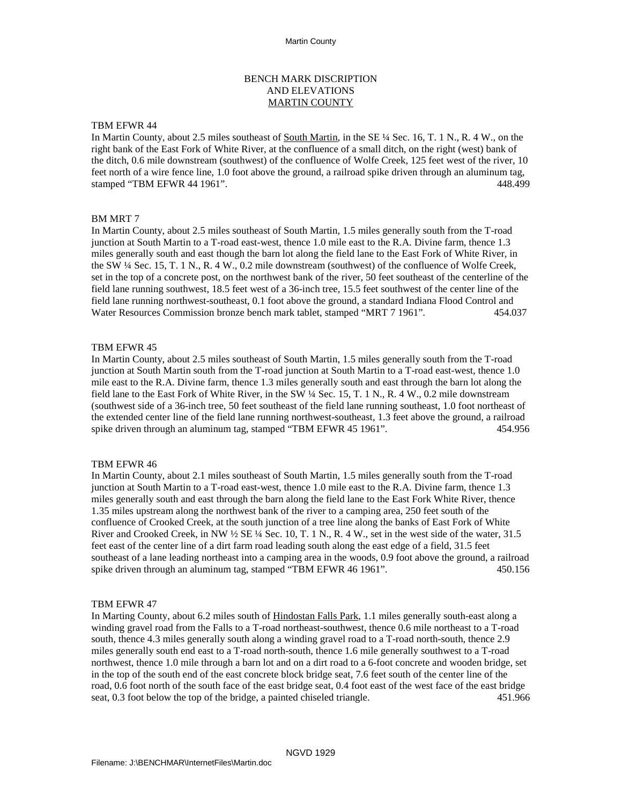# BENCH MARK DISCRIPTION AND ELEVATIONS MARTIN COUNTY

### TBM EFWR 44

In Martin County, about 2.5 miles southeast of South Martin, in the SE ¼ Sec. 16, T. 1 N., R. 4 W., on the right bank of the East Fork of White River, at the confluence of a small ditch, on the right (west) bank of the ditch, 0.6 mile downstream (southwest) of the confluence of Wolfe Creek, 125 feet west of the river, 10 feet north of a wire fence line, 1.0 foot above the ground, a railroad spike driven through an aluminum tag, stamped "TBM EFWR 44 1961". 448.499

### BM MRT 7

In Martin County, about 2.5 miles southeast of South Martin, 1.5 miles generally south from the T-road junction at South Martin to a T-road east-west, thence 1.0 mile east to the R.A. Divine farm, thence 1.3 miles generally south and east though the barn lot along the field lane to the East Fork of White River, in the SW ¼ Sec. 15, T. 1 N., R. 4 W., 0.2 mile downstream (southwest) of the confluence of Wolfe Creek, set in the top of a concrete post, on the northwest bank of the river, 50 feet southeast of the centerline of the field lane running southwest, 18.5 feet west of a 36-inch tree, 15.5 feet southwest of the center line of the field lane running northwest-southeast, 0.1 foot above the ground, a standard Indiana Flood Control and Water Resources Commission bronze bench mark tablet, stamped "MRT 7 1961". 454.037

### TBM EFWR 45

In Martin County, about 2.5 miles southeast of South Martin, 1.5 miles generally south from the T-road junction at South Martin south from the T-road junction at South Martin to a T-road east-west, thence 1.0 mile east to the R.A. Divine farm, thence 1.3 miles generally south and east through the barn lot along the field lane to the East Fork of White River, in the SW ¼ Sec. 15, T. 1 N., R. 4 W., 0.2 mile downstream (southwest side of a 36-inch tree, 50 feet southeast of the field lane running southeast, 1.0 foot northeast of the extended center line of the field lane running northwest-southeast, 1.3 feet above the ground, a railroad spike driven through an aluminum tag, stamped "TBM EFWR 45 1961". 454.956

### TBM EFWR 46

In Martin County, about 2.1 miles southeast of South Martin, 1.5 miles generally south from the T-road junction at South Martin to a T-road east-west, thence 1.0 mile east to the R.A. Divine farm, thence 1.3 miles generally south and east through the barn along the field lane to the East Fork White River, thence 1.35 miles upstream along the northwest bank of the river to a camping area, 250 feet south of the confluence of Crooked Creek, at the south junction of a tree line along the banks of East Fork of White River and Crooked Creek, in NW  $\frac{1}{2}$  SE  $\frac{1}{4}$  Sec. 10, T. 1 N., R. 4 W., set in the west side of the water, 31.5 feet east of the center line of a dirt farm road leading south along the east edge of a field, 31.5 feet southeast of a lane leading northeast into a camping area in the woods, 0.9 foot above the ground, a railroad spike driven through an aluminum tag, stamped "TBM EFWR 46 1961". 450.156

### TBM EFWR 47

In Marting County, about 6.2 miles south of Hindostan Falls Park, 1.1 miles generally south-east along a winding gravel road from the Falls to a T-road northeast-southwest, thence 0.6 mile northeast to a T-road south, thence 4.3 miles generally south along a winding gravel road to a T-road north-south, thence 2.9 miles generally south end east to a T-road north-south, thence 1.6 mile generally southwest to a T-road northwest, thence 1.0 mile through a barn lot and on a dirt road to a 6-foot concrete and wooden bridge, set in the top of the south end of the east concrete block bridge seat, 7.6 feet south of the center line of the road, 0.6 foot north of the south face of the east bridge seat, 0.4 foot east of the west face of the east bridge seat, 0.3 foot below the top of the bridge, a painted chiseled triangle. 451.966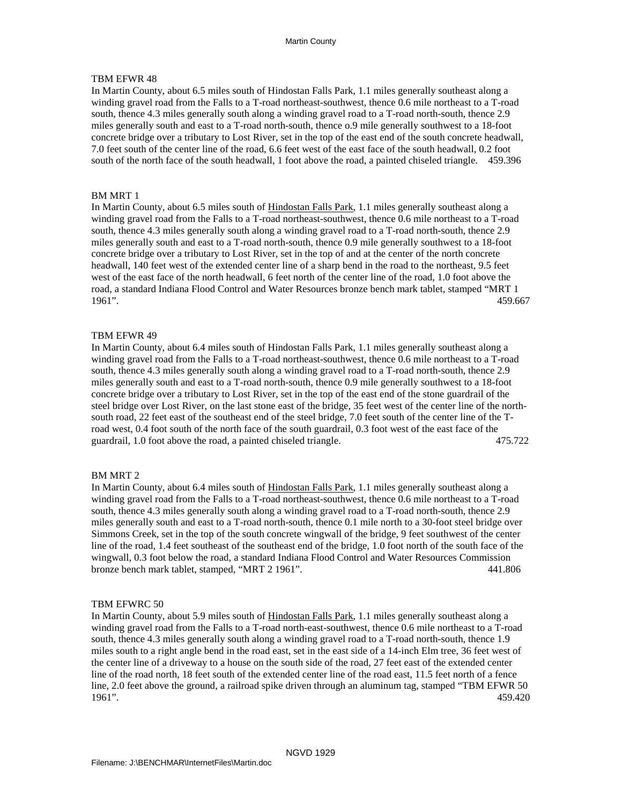## TBM EFWR 48

In Martin County, about 6.5 miles south of Hindostan Falls Park, 1.1 miles generally southeast along a winding gravel road from the Falls to a T-road northeast-southwest, thence 0.6 mile northeast to a T-road south, thence 4.3 miles generally south along a winding gravel road to a T-road north-south, thence 2.9 miles generally south and east to a T-road north-south, thence o.9 mile generally southwest to a 18-foot concrete bridge over a tributary to Lost River, set in the top of the east end of the south concrete headwall, 7.0 feet south of the center line of the road, 6.6 feet west of the east face of the south headwall, 0.2 foot south of the north face of the south headwall, 1 foot above the road, a painted chiseled triangle. 459.396

### BM MRT 1

In Martin County, about 6.5 miles south of Hindostan Falls Park, 1.1 miles generally southeast along a winding gravel road from the Falls to a T-road northeast-southwest, thence 0.6 mile northeast to a T-road south, thence 4.3 miles generally south along a winding gravel road to a T-road north-south, thence 2.9 miles generally south and east to a T-road north-south, thence 0.9 mile generally southwest to a 18-foot concrete bridge over a tributary to Lost River, set in the top of and at the center of the north concrete headwall, 140 feet west of the extended center line of a sharp bend in the road to the northeast, 9.5 feet west of the east face of the north headwall, 6 feet north of the center line of the road, 1.0 foot above the road, a standard Indiana Flood Control and Water Resources bronze bench mark tablet, stamped "MRT 1 1961". 459.667

### TBM EFWR 49

In Martin County, about 6.4 miles south of Hindostan Falls Park, 1.1 miles generally southeast along a winding gravel road from the Falls to a T-road northeast-southwest, thence 0.6 mile northeast to a T-road south, thence 4.3 miles generally south along a winding gravel road to a T-road north-south, thence 2.9 miles generally south and east to a T-road north-south, thence 0.9 mile generally southwest to a 18-foot concrete bridge over a tributary to Lost River, set in the top of the east end of the stone guardrail of the steel bridge over Lost River, on the last stone east of the bridge, 35 feet west of the center line of the north south road, 22 feet east of the southeast end of the steel bridge, 7.0 feet south of the center line of the T road west, 0.4 foot south of the north face of the south guardrail, 0.3 foot west of the east face of the guardrail, 1.0 foot above the road, a painted chiseled triangle. 475.722

### BM MRT 2

In Martin County, about 6.4 miles south of Hindostan Falls Park, 1.1 miles generally southeast along a winding gravel road from the Falls to a T-road northeast-southwest, thence 0.6 mile northeast to a T-road south, thence 4.3 miles generally south along a winding gravel road to a T-road north-south, thence 2.9 miles generally south and east to a T-road north-south, thence 0.1 mile north to a 30-foot steel bridge over Simmons Creek, set in the top of the south concrete wingwall of the bridge, 9 feet southwest of the center line of the road, 1.4 feet southeast of the southeast end of the bridge, 1.0 foot north of the south face of the wingwall, 0.3 foot below the road, a standard Indiana Flood Control and Water Resources Commission bronze bench mark tablet, stamped, "MRT 2 1961". 441.806

### TBM EFWRC 50

In Martin County, about 5.9 miles south of Hindostan Falls Park, 1.1 miles generally southeast along a winding gravel road from the Falls to a T-road north-east-southwest, thence 0.6 mile northeast to a T-road south, thence 4.3 miles generally south along a winding gravel road to a T-road north-south, thence 1.9 miles south to a right angle bend in the road east, set in the east side of a 14-inch Elm tree, 36 feet west of the center line of a driveway to a house on the south side of the road, 27 feet east of the extended center line of the road north, 18 feet south of the extended center line of the road east, 11.5 feet north of a fence line, 2.0 feet above the ground, a railroad spike driven through an aluminum tag, stamped "TBM EFWR 50 1961". 459.420 459.420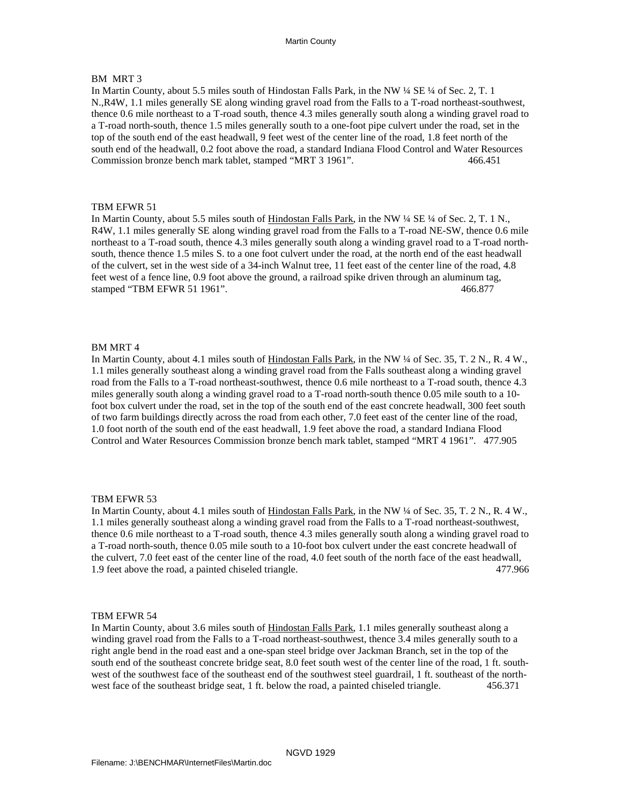## BM MRT 3

In Martin County, about 5.5 miles south of Hindostan Falls Park, in the NW ¼ SE ¼ of Sec. 2, T. 1 N.,R4W, 1.1 miles generally SE along winding gravel road from the Falls to a T-road northeast-southwest, thence 0.6 mile northeast to a T-road south, thence 4.3 miles generally south along a winding gravel road to a T-road north-south, thence 1.5 miles generally south to a one-foot pipe culvert under the road, set in the top of the south end of the east headwall, 9 feet west of the center line of the road, 1.8 feet north of the south end of the headwall, 0.2 foot above the road, a standard Indiana Flood Control and Water Resources Commission bronze bench mark tablet, stamped "MRT 3 1961". 466.451

### TBM EFWR 51

In Martin County, about 5.5 miles south of Hindostan Falls Park, in the NW ¼ SE ¼ of Sec. 2, T. 1 N., R4W, 1.1 miles generally SE along winding gravel road from the Falls to a T-road NE-SW, thence 0.6 mile northeast to a T-road south, thence 4.3 miles generally south along a winding gravel road to a T-road north south, thence thence 1.5 miles S. to a one foot culvert under the road, at the north end of the east headwall of the culvert, set in the west side of a 34-inch Walnut tree, 11 feet east of the center line of the road, 4.8 feet west of a fence line, 0.9 foot above the ground, a railroad spike driven through an aluminum tag, stamped "TBM EFWR 51 1961". 466.877

### BM MRT 4

In Martin County, about 4.1 miles south of Hindostan Falls Park, in the NW ¼ of Sec. 35, T. 2 N., R. 4 W., 1.1 miles generally southeast along a winding gravel road from the Falls southeast along a winding gravel road from the Falls to a T-road northeast-southwest, thence 0.6 mile northeast to a T-road south, thence 4.3 miles generally south along a winding gravel road to a T-road north-south thence 0.05 mile south to a 10 foot box culvert under the road, set in the top of the south end of the east concrete headwall, 300 feet south of two farm buildings directly across the road from each other, 7.0 feet east of the center line of the road, 1.0 foot north of the south end of the east headwall, 1.9 feet above the road, a standard Indiana Flood Control and Water Resources Commission bronze bench mark tablet, stamped "MRT 4 1961". 477.905

#### TBM EFWR 53

In Martin County, about 4.1 miles south of Hindostan Falls Park, in the NW ¼ of Sec. 35, T. 2 N., R. 4 W., 1.1 miles generally southeast along a winding gravel road from the Falls to a T-road northeast-southwest, thence 0.6 mile northeast to a T-road south, thence 4.3 miles generally south along a winding gravel road to a T-road north-south, thence 0.05 mile south to a 10-foot box culvert under the east concrete headwall of the culvert, 7.0 feet east of the center line of the road, 4.0 feet south of the north face of the east headwall,<br>1.9 feet above the road, a painted chiseled triangle. 477.966 1.9 feet above the road, a painted chiseled triangle.

#### TBM EFWR 54

In Martin County, about 3.6 miles south of Hindostan Falls Park, 1.1 miles generally southeast along a winding gravel road from the Falls to a T-road northeast-southwest, thence 3.4 miles generally south to a right angle bend in the road east and a one-span steel bridge over Jackman Branch, set in the top of the south end of the southeast concrete bridge seat, 8.0 feet south west of the center line of the road, 1 ft. south west of the southwest face of the southeast end of the southwest steel guardrail, 1 ft. southeast of the north west face of the southeast bridge seat, 1 ft. below the road, a painted chiseled triangle. 456.371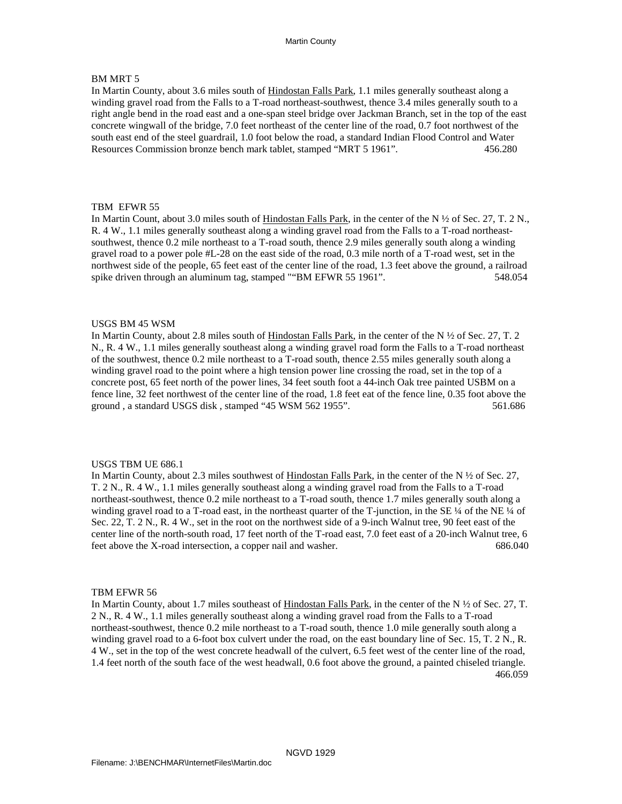# BM MRT 5

In Martin County, about 3.6 miles south of Hindostan Falls Park, 1.1 miles generally southeast along a winding gravel road from the Falls to a T-road northeast-southwest, thence 3.4 miles generally south to a right angle bend in the road east and a one-span steel bridge over Jackman Branch, set in the top of the east concrete wingwall of the bridge, 7.0 feet northeast of the center line of the road, 0.7 foot northwest of the south east end of the steel guardrail, 1.0 foot below the road, a standard Indian Flood Control and Water Resources Commission bronze bench mark tablet, stamped "MRT 5 1961". 456.280

### TBM EFWR 55

In Martin Count, about 3.0 miles south of Hindostan Falls Park, in the center of the N  $\frac{1}{2}$  of Sec. 27, T. 2 N., R. 4 W., 1.1 miles generally southeast along a winding gravel road from the Falls to a T-road northeast southwest, thence 0.2 mile northeast to a T-road south, thence 2.9 miles generally south along a winding gravel road to a power pole #L-28 on the east side of the road, 0.3 mile north of a T-road west, set in the northwest side of the people, 65 feet east of the center line of the road, 1.3 feet above the ground, a railroad spike driven through an aluminum tag, stamped ""BM EFWR 55 1961". 548.054

### USGS BM 45 WSM

In Martin County, about 2.8 miles south of Hindostan Falls Park, in the center of the N  $\frac{1}{2}$  of Sec. 27, T. 2 N., R. 4 W., 1.1 miles generally southeast along a winding gravel road form the Falls to a T-road northeast of the southwest, thence 0.2 mile northeast to a T-road south, thence 2.55 miles generally south along a winding gravel road to the point where a high tension power line crossing the road, set in the top of a concrete post, 65 feet north of the power lines, 34 feet south foot a 44-inch Oak tree painted USBM on a fence line, 32 feet northwest of the center line of the road, 1.8 feet eat of the fence line, 0.35 foot above the ground , a standard USGS disk , stamped "45 WSM 562 1955". 561.686

#### USGS TBM UE 686.1

In Martin County, about 2.3 miles southwest of Hindostan Falls Park, in the center of the N ½ of Sec. 27, T. 2 N., R. 4 W., 1.1 miles generally southeast along a winding gravel road from the Falls to a T-road northeast-southwest, thence 0.2 mile northeast to a T-road south, thence 1.7 miles generally south along a winding gravel road to a T-road east, in the northeast quarter of the T-junction, in the SE 1/4 of the NE 1/4 of Sec. 22, T. 2 N., R. 4 W., set in the root on the northwest side of a 9-inch Walnut tree, 90 feet east of the center line of the north-south road, 17 feet north of the T-road east, 7.0 feet east of a 20-inch Walnut tree, 6 feet above the X-road intersection, a copper nail and washer. 686.040

### TBM EFWR 56

In Martin County, about 1.7 miles southeast of Hindostan Falls Park, in the center of the N ½ of Sec. 27, T. 2 N., R. 4 W., 1.1 miles generally southeast along a winding gravel road from the Falls to a T-road northeast-southwest, thence 0.2 mile northeast to a T-road south, thence 1.0 mile generally south along a winding gravel road to a 6-foot box culvert under the road, on the east boundary line of Sec. 15, T. 2 N., R. 4 W., set in the top of the west concrete headwall of the culvert, 6.5 feet west of the center line of the road, 1.4 feet north of the south face of the west headwall, 0.6 foot above the ground, a painted chiseled triangle. 466.059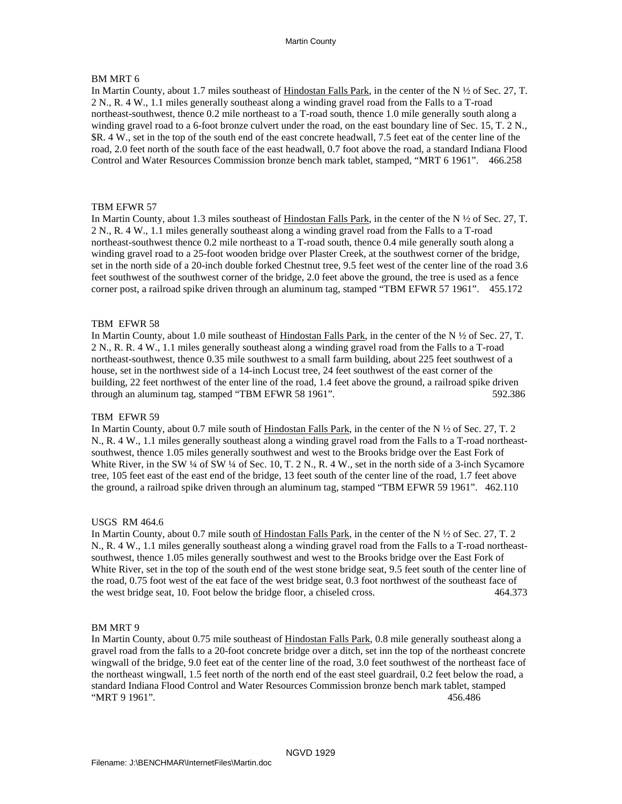# BM MRT 6

In Martin County, about 1.7 miles southeast of Hindostan Falls Park, in the center of the N  $\frac{1}{2}$  of Sec. 27, T. 2 N., R. 4 W., 1.1 miles generally southeast along a winding gravel road from the Falls to a T-road northeast-southwest, thence 0.2 mile northeast to a T-road south, thence 1.0 mile generally south along a winding gravel road to a 6-foot bronze culvert under the road, on the east boundary line of Sec. 15, T. 2 N., \$R. 4 W., set in the top of the south end of the east concrete headwall, 7.5 feet eat of the center line of the road, 2.0 feet north of the south face of the east headwall, 0.7 foot above the road, a standard Indiana Flood Control and Water Resources Commission bronze bench mark tablet, stamped, "MRT 6 1961". 466.258

### TBM EFWR 57

In Martin County, about 1.3 miles southeast of Hindostan Falls Park, in the center of the N  $\frac{1}{2}$  of Sec. 27, T. 2 N., R. 4 W., 1.1 miles generally southeast along a winding gravel road from the Falls to a T-road northeast-southwest thence 0.2 mile northeast to a T-road south, thence 0.4 mile generally south along a winding gravel road to a 25-foot wooden bridge over Plaster Creek, at the southwest corner of the bridge, set in the north side of a 20-inch double forked Chestnut tree, 9.5 feet west of the center line of the road 3.6 feet southwest of the southwest corner of the bridge, 2.0 feet above the ground, the tree is used as a fence corner post, a railroad spike driven through an aluminum tag, stamped "TBM EFWR 57 1961". 455.172

### TBM EFWR 58

In Martin County, about 1.0 mile southeast of Hindostan Falls Park, in the center of the N  $\frac{1}{2}$  of Sec. 27, T. 2 N., R. R. 4 W., 1.1 miles generally southeast along a winding gravel road from the Falls to a T-road northeast-southwest, thence 0.35 mile southwest to a small farm building, about 225 feet southwest of a house, set in the northwest side of a 14-inch Locust tree, 24 feet southwest of the east corner of the building, 22 feet northwest of the enter line of the road, 1.4 feet above the ground, a railroad spike driven through an aluminum tag, stamped "TBM EFWR 58 1961". 592.386

### TBM EFWR 59

In Martin County, about 0.7 mile south of Hindostan Falls Park, in the center of the N  $\frac{1}{2}$  of Sec. 27, T. 2 N., R. 4 W., 1.1 miles generally southeast along a winding gravel road from the Falls to a T-road northeast southwest, thence 1.05 miles generally southwest and west to the Brooks bridge over the East Fork of White River, in the SW ¼ of SW ¼ of Sec. 10, T. 2 N., R. 4 W., set in the north side of a 3-inch Sycamore tree, 105 feet east of the east end of the bridge, 13 feet south of the center line of the road, 1.7 feet above the ground, a railroad spike driven through an aluminum tag, stamped "TBM EFWR 59 1961". 462.110

### USGS RM 464.6

In Martin County, about 0.7 mile south of Hindostan Falls Park, in the center of the N  $\frac{1}{2}$  of Sec. 27, T. 2 N., R. 4 W., 1.1 miles generally southeast along a winding gravel road from the Falls to a T-road northeast southwest, thence 1.05 miles generally southwest and west to the Brooks bridge over the East Fork of White River, set in the top of the south end of the west stone bridge seat, 9.5 feet south of the center line of the road, 0.75 foot west of the eat face of the west bridge seat, 0.3 foot northwest of the southeast face of the west bridge seat, 10. Foot below the bridge floor, a chiseled cross. 464.373

### BM MRT 9

In Martin County, about 0.75 mile southeast of Hindostan Falls Park, 0.8 mile generally southeast along a gravel road from the falls to a 20-foot concrete bridge over a ditch, set inn the top of the northeast concrete wingwall of the bridge, 9.0 feet eat of the center line of the road, 3.0 feet southwest of the northeast face of the northeast wingwall, 1.5 feet north of the north end of the east steel guardrail, 0.2 feet below the road, a standard Indiana Flood Control and Water Resources Commission bronze bench mark tablet, stamped "MRT 9 1961". 456.486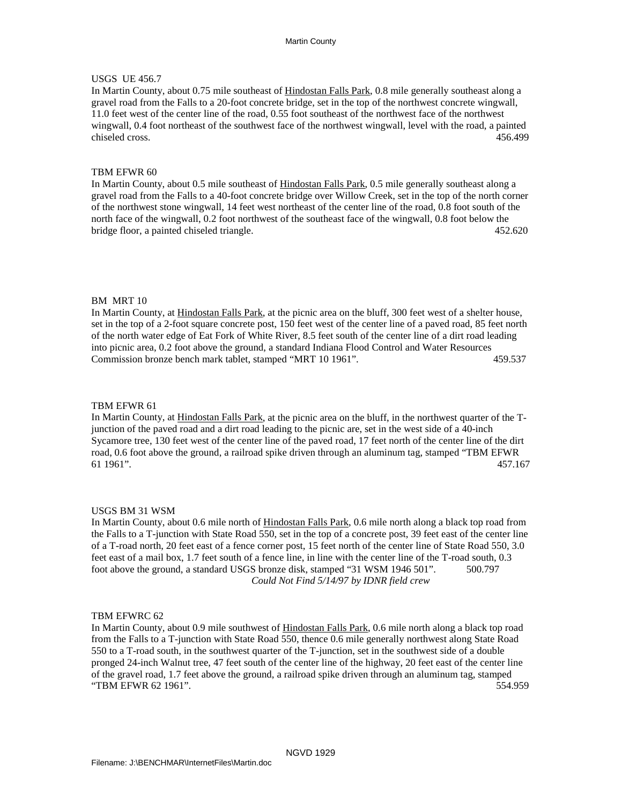# USGS UE 456.7

In Martin County, about 0.75 mile southeast of Hindostan Falls Park, 0.8 mile generally southeast along a gravel road from the Falls to a 20-foot concrete bridge, set in the top of the northwest concrete wingwall, 11.0 feet west of the center line of the road, 0.55 foot southeast of the northwest face of the northwest wingwall, 0.4 foot northeast of the southwest face of the northwest wingwall, level with the road, a painted chiseled cross. 456.499

### TBM EFWR 60

In Martin County, about 0.5 mile southeast of Hindostan Falls Park, 0.5 mile generally southeast along a gravel road from the Falls to a 40-foot concrete bridge over Willow Creek, set in the top of the north corner of the northwest stone wingwall, 14 feet west northeast of the center line of the road, 0.8 foot south of the north face of the wingwall, 0.2 foot northwest of the southeast face of the wingwall, 0.8 foot below the bridge floor, a painted chiseled triangle. 452.620

### BM MRT 10

In Martin County, at Hindostan Falls Park, at the picnic area on the bluff, 300 feet west of a shelter house, set in the top of a 2-foot square concrete post, 150 feet west of the center line of a paved road, 85 feet north of the north water edge of Eat Fork of White River, 8.5 feet south of the center line of a dirt road leading into picnic area, 0.2 foot above the ground, a standard Indiana Flood Control and Water Resources Commission bronze bench mark tablet, stamped "MRT 10 1961". 459.537

#### TBM EFWR 61

In Martin County, at Hindostan Falls Park, at the picnic area on the bluff, in the northwest quarter of the Tjunction of the paved road and a dirt road leading to the picnic are, set in the west side of a 40-inch Sycamore tree, 130 feet west of the center line of the paved road, 17 feet north of the center line of the dirt road, 0.6 foot above the ground, a railroad spike driven through an aluminum tag, stamped "TBM EFWR 61 1961". 457.167

#### USGS BM 31 WSM

In Martin County, about 0.6 mile north of Hindostan Falls Park, 0.6 mile north along a black top road from the Falls to a T-junction with State Road 550, set in the top of a concrete post, 39 feet east of the center line of a T-road north, 20 feet east of a fence corner post, 15 feet north of the center line of State Road 550, 3.0 feet east of a mail box, 1.7 feet south of a fence line, in line with the center line of the T-road south, 0.3 foot above the ground, a standard USGS bronze disk, stamped "31 WSM 1946 501". 500.797 *Could Not Find 5/14/97 by IDNR field crew* 

### TBM EFWRC 62

In Martin County, about 0.9 mile southwest of Hindostan Falls Park, 0.6 mile north along a black top road from the Falls to a T-junction with State Road 550, thence 0.6 mile generally northwest along State Road 550 to a T-road south, in the southwest quarter of the T-junction, set in the southwest side of a double pronged 24-inch Walnut tree, 47 feet south of the center line of the highway, 20 feet east of the center line of the gravel road, 1.7 feet above the ground, a railroad spike driven through an aluminum tag, stamped "TBM EFWR 62 1961". 554.959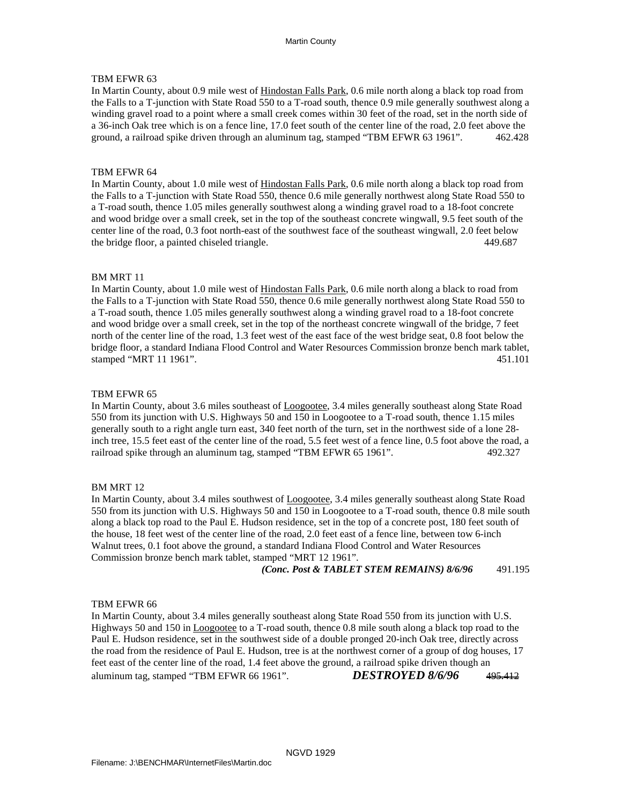In Martin County, about 0.9 mile west of Hindostan Falls Park, 0.6 mile north along a black top road from the Falls to a T-junction with State Road 550 to a T-road south, thence 0.9 mile generally southwest along a winding gravel road to a point where a small creek comes within 30 feet of the road, set in the north side of a 36-inch Oak tree which is on a fence line, 17.0 feet south of the center line of the road, 2.0 feet above the ground, a railroad spike driven through an aluminum tag, stamped "TBM EFWR 63 1961". 462.428

### TBM EFWR 64

In Martin County, about 1.0 mile west of Hindostan Falls Park, 0.6 mile north along a black top road from the Falls to a T-junction with State Road 550, thence 0.6 mile generally northwest along State Road 550 to a T-road south, thence 1.05 miles generally southwest along a winding gravel road to a 18-foot concrete and wood bridge over a small creek, set in the top of the southeast concrete wingwall, 9.5 feet south of the center line of the road, 0.3 foot north-east of the southwest face of the southeast wingwall, 2.0 feet below the bridge floor, a painted chiseled triangle. 449.687

### BM MRT 11

In Martin County, about 1.0 mile west of Hindostan Falls Park, 0.6 mile north along a black to road from the Falls to a T-junction with State Road 550, thence 0.6 mile generally northwest along State Road 550 to a T-road south, thence 1.05 miles generally southwest along a winding gravel road to a 18-foot concrete and wood bridge over a small creek, set in the top of the northeast concrete wingwall of the bridge, 7 feet north of the center line of the road, 1.3 feet west of the east face of the west bridge seat, 0.8 foot below the bridge floor, a standard Indiana Flood Control and Water Resources Commission bronze bench mark tablet, stamped "MRT 11 1961". 451.101

### TBM EFWR 65

In Martin County, about 3.6 miles southeast of Loogootee, 3.4 miles generally southeast along State Road 550 from its junction with U.S. Highways 50 and 150 in Loogootee to a T-road south, thence 1.15 miles generally south to a right angle turn east, 340 feet north of the turn, set in the northwest side of a lone 28 inch tree, 15.5 feet east of the center line of the road, 5.5 feet west of a fence line, 0.5 foot above the road, a railroad spike through an aluminum tag, stamped "TBM EFWR 65 1961". 492.327

### BM MRT 12

In Martin County, about 3.4 miles southwest of Loogootee, 3.4 miles generally southeast along State Road 550 from its junction with U.S. Highways 50 and 150 in Loogootee to a T-road south, thence 0.8 mile south along a black top road to the Paul E. Hudson residence, set in the top of a concrete post, 180 feet south of the house, 18 feet west of the center line of the road, 2.0 feet east of a fence line, between tow 6-inch Walnut trees, 0.1 foot above the ground, a standard Indiana Flood Control and Water Resources Commission bronze bench mark tablet, stamped "MRT 12 1961".

*(Conc. Post & TABLET STEM REMAINS) 8/6/96* 491.195

### TBM EFWR 66

In Martin County, about 3.4 miles generally southeast along State Road 550 from its junction with U.S. Highways 50 and 150 in **Loogootee** to a T-road south, thence 0.8 mile south along a black top road to the Paul E. Hudson residence, set in the southwest side of a double pronged 20-inch Oak tree, directly across the road from the residence of Paul E. Hudson, tree is at the northwest corner of a group of dog houses, 17 feet east of the center line of the road, 1.4 feet above the ground, a railroad spike driven though an aluminum tag, stamped "TBM EFWR 66 1961". *DESTROYED 8/6/96* 495.412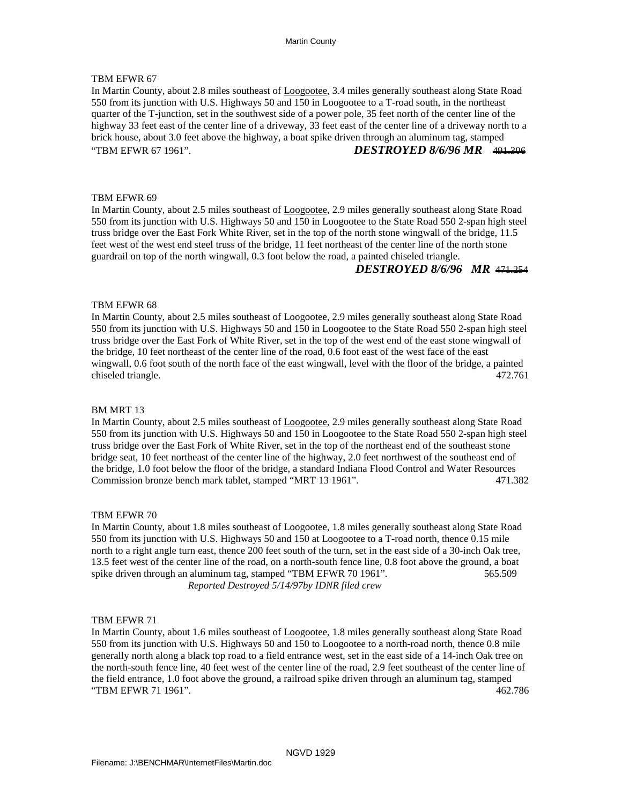In Martin County, about 2.8 miles southeast of Loogootee, 3.4 miles generally southeast along State Road 550 from its junction with U.S. Highways 50 and 150 in Loogootee to a T-road south, in the northeast quarter of the T-junction, set in the southwest side of a power pole, 35 feet north of the center line of the highway 33 feet east of the center line of a driveway, 33 feet east of the center line of a driveway north to a brick house, about 3.0 feet above the highway, a boat spike driven through an aluminum tag, stamped "TBM EFWR 67 1961". *DESTROYED 8/6/96 MR* 491.306

### TBM EFWR 69

In Martin County, about 2.5 miles southeast of Loogootee, 2.9 miles generally southeast along State Road 550 from its junction with U.S. Highways 50 and 150 in Loogootee to the State Road 550 2-span high steel truss bridge over the East Fork White River, set in the top of the north stone wingwall of the bridge, 11.5 feet west of the west end steel truss of the bridge, 11 feet northeast of the center line of the north stone guardrail on top of the north wingwall, 0.3 foot below the road, a painted chiseled triangle.

# *DESTROYED 8/6/96 MR* 471.254

### TBM EFWR 68

In Martin County, about 2.5 miles southeast of Loogootee, 2.9 miles generally southeast along State Road 550 from its junction with U.S. Highways 50 and 150 in Loogootee to the State Road 550 2-span high steel truss bridge over the East Fork of White River, set in the top of the west end of the east stone wingwall of the bridge, 10 feet northeast of the center line of the road, 0.6 foot east of the west face of the east wingwall, 0.6 foot south of the north face of the east wingwall, level with the floor of the bridge, a painted chiseled triangle. 472.761

#### BM MRT 13

In Martin County, about 2.5 miles southeast of Loogootee, 2.9 miles generally southeast along State Road 550 from its junction with U.S. Highways 50 and 150 in Loogootee to the State Road 550 2-span high steel truss bridge over the East Fork of White River, set in the top of the northeast end of the southeast stone bridge seat, 10 feet northeast of the center line of the highway, 2.0 feet northwest of the southeast end of the bridge, 1.0 foot below the floor of the bridge, a standard Indiana Flood Control and Water Resources Commission bronze bench mark tablet, stamped "MRT 13 1961". 471.382

#### TBM EFWR 70

In Martin County, about 1.8 miles southeast of Loogootee, 1.8 miles generally southeast along State Road 550 from its junction with U.S. Highways 50 and 150 at Loogootee to a T-road north, thence 0.15 mile north to a right angle turn east, thence 200 feet south of the turn, set in the east side of a 30-inch Oak tree, 13.5 feet west of the center line of the road, on a north-south fence line, 0.8 foot above the ground, a boat spike driven through an aluminum tag, stamped "TBM EFWR 70 1961". 565.509 *Reported Destroyed 5/14/97by IDNR filed crew* 

#### TBM EFWR 71

In Martin County, about 1.6 miles southeast of Loogootee, 1.8 miles generally southeast along State Road 550 from its junction with U.S. Highways 50 and 150 to Loogootee to a north-road north, thence 0.8 mile generally north along a black top road to a field entrance west, set in the east side of a 14-inch Oak tree on the north-south fence line, 40 feet west of the center line of the road, 2.9 feet southeast of the center line of the field entrance, 1.0 foot above the ground, a railroad spike driven through an aluminum tag, stamped "TBM EFWR 71 1961". 462.786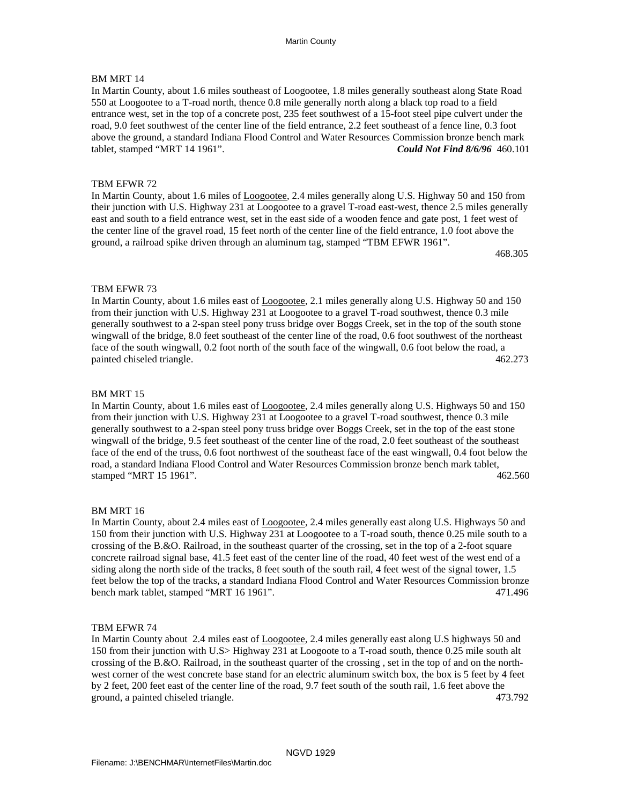# BM MRT 14

In Martin County, about 1.6 miles southeast of Loogootee, 1.8 miles generally southeast along State Road 550 at Loogootee to a T-road north, thence 0.8 mile generally north along a black top road to a field entrance west, set in the top of a concrete post, 235 feet southwest of a 15-foot steel pipe culvert under the road, 9.0 feet southwest of the center line of the field entrance, 2.2 feet southeast of a fence line, 0.3 foot above the ground, a standard Indiana Flood Control and Water Resources Commission bronze bench mark tablet, stamped "MRT 14 1961". *Could Not Find 8/6/96* 460.101

# TBM EFWR 72

In Martin County, about 1.6 miles of Loogootee, 2.4 miles generally along U.S. Highway 50 and 150 from their junction with U.S. Highway 231 at Loogootee to a gravel T-road east-west, thence 2.5 miles generally east and south to a field entrance west, set in the east side of a wooden fence and gate post, 1 feet west of the center line of the gravel road, 15 feet north of the center line of the field entrance, 1.0 foot above the ground, a railroad spike driven through an aluminum tag, stamped "TBM EFWR 1961".

468.305

### TBM EFWR 73

In Martin County, about 1.6 miles east of Loogootee, 2.1 miles generally along U.S. Highway 50 and 150 from their junction with U.S. Highway 231 at Loogootee to a gravel T-road southwest, thence 0.3 mile generally southwest to a 2-span steel pony truss bridge over Boggs Creek, set in the top of the south stone wingwall of the bridge, 8.0 feet southeast of the center line of the road, 0.6 foot southwest of the northeast face of the south wingwall, 0.2 foot north of the south face of the wingwall, 0.6 foot below the road, a painted chiseled triangle. 462.273

### BM MRT 15

In Martin County, about 1.6 miles east of Loogootee, 2.4 miles generally along U.S. Highways 50 and 150 from their junction with U.S. Highway 231 at Loogootee to a gravel T-road southwest, thence 0.3 mile generally southwest to a 2-span steel pony truss bridge over Boggs Creek, set in the top of the east stone wingwall of the bridge, 9.5 feet southeast of the center line of the road, 2.0 feet southeast of the southeast face of the end of the truss, 0.6 foot northwest of the southeast face of the east wingwall, 0.4 foot below the road, a standard Indiana Flood Control and Water Resources Commission bronze bench mark tablet, stamped "MRT 15 1961". 462.560

### BM MRT 16

In Martin County, about 2.4 miles east of Loogootee, 2.4 miles generally east along U.S. Highways 50 and 150 from their junction with U.S. Highway 231 at Loogootee to a T-road south, thence 0.25 mile south to a crossing of the B.&O. Railroad, in the southeast quarter of the crossing, set in the top of a 2-foot square concrete railroad signal base, 41.5 feet east of the center line of the road, 40 feet west of the west end of a siding along the north side of the tracks, 8 feet south of the south rail, 4 feet west of the signal tower, 1.5 feet below the top of the tracks, a standard Indiana Flood Control and Water Resources Commission bronze bench mark tablet, stamped "MRT 16 1961". 471.496

### TBM EFWR 74

In Martin County about 2.4 miles east of Loogootee, 2.4 miles generally east along U.S highways 50 and 150 from their junction with U.S> Highway 231 at Loogoote to a T-road south, thence 0.25 mile south alt crossing of the B.&O. Railroad, in the southeast quarter of the crossing , set in the top of and on the north west corner of the west concrete base stand for an electric aluminum switch box, the box is 5 feet by 4 feet by 2 feet, 200 feet east of the center line of the road, 9.7 feet south of the south rail, 1.6 feet above the ground, a painted chiseled triangle. 473.792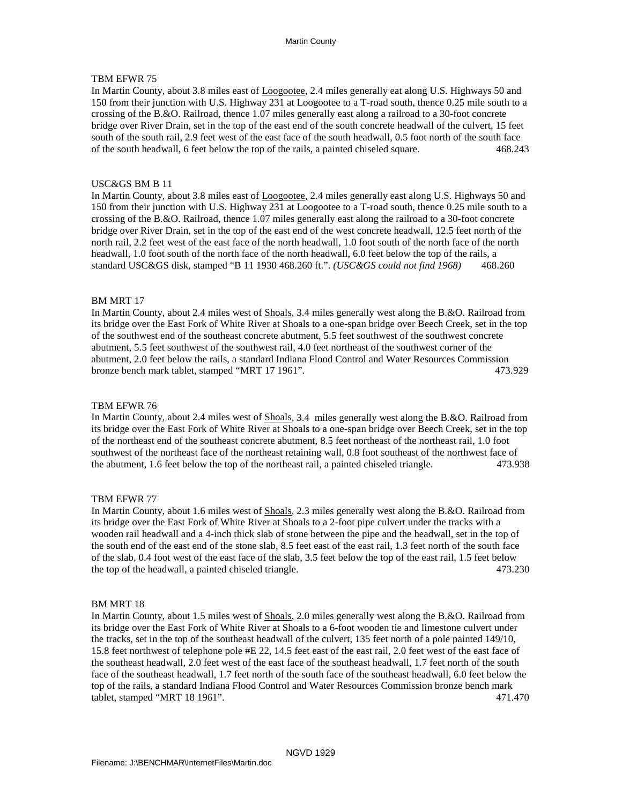In Martin County, about 3.8 miles east of Loogootee, 2.4 miles generally eat along U.S. Highways 50 and 150 from their junction with U.S. Highway 231 at Loogootee to a T-road south, thence 0.25 mile south to a crossing of the B.&O. Railroad, thence 1.07 miles generally east along a railroad to a 30-foot concrete bridge over River Drain, set in the top of the east end of the south concrete headwall of the culvert, 15 feet south of the south rail, 2.9 feet west of the east face of the south headwall, 0.5 foot north of the south face of the south headwall, 6 feet below the top of the rails, a painted chiseled square. 468.243

# USC&GS BM B 11

In Martin County, about 3.8 miles east of Loogootee, 2.4 miles generally east along U.S. Highways 50 and 150 from their junction with U.S. Highway 231 at Loogootee to a T-road south, thence 0.25 mile south to a crossing of the B.&O. Railroad, thence 1.07 miles generally east along the railroad to a 30-foot concrete bridge over River Drain, set in the top of the east end of the west concrete headwall, 12.5 feet north of the north rail, 2.2 feet west of the east face of the north headwall, 1.0 foot south of the north face of the north headwall, 1.0 foot south of the north face of the north headwall, 6.0 feet below the top of the rails, a standard USC&GS disk, stamped "B 11 1930 468.260 ft.". *(USC&GS could not find 1968)* 468.260

## BM MRT 17

In Martin County, about 2.4 miles west of **Shoals**, 3.4 miles generally west along the B.&O. Railroad from its bridge over the East Fork of White River at Shoals to a one-span bridge over Beech Creek, set in the top of the southwest end of the southeast concrete abutment, 5.5 feet southwest of the southwest concrete abutment, 5.5 feet southwest of the southwest rail, 4.0 feet northeast of the southwest corner of the abutment, 2.0 feet below the rails, a standard Indiana Flood Control and Water Resources Commission bronze bench mark tablet, stamped "MRT 17 1961". 473.929

### TBM EFWR 76

In Martin County, about 2.4 miles west of Shoals, 3.4 miles generally west along the B.&O. Railroad from its bridge over the East Fork of White River at Shoals to a one-span bridge over Beech Creek, set in the top of the northeast end of the southeast concrete abutment, 8.5 feet northeast of the northeast rail, 1.0 foot southwest of the northeast face of the northeast retaining wall, 0.8 foot southeast of the northwest face of the abutment, 1.6 feet below the top of the northeast rail, a painted chiseled triangle. 473.938

### TBM EFWR 77

In Martin County, about 1.6 miles west of **Shoals**, 2.3 miles generally west along the B.&O. Railroad from its bridge over the East Fork of White River at Shoals to a 2-foot pipe culvert under the tracks with a wooden rail headwall and a 4-inch thick slab of stone between the pipe and the headwall, set in the top of the south end of the east end of the stone slab, 8.5 feet east of the east rail, 1.3 feet north of the south face of the slab, 0.4 foot west of the east face of the slab, 3.5 feet below the top of the east rail, 1.5 feet below the top of the headwall, a painted chiseled triangle. 473.230

### BM MRT 18

In Martin County, about 1.5 miles west of Shoals, 2.0 miles generally west along the B.&O. Railroad from its bridge over the East Fork of White River at Shoals to a 6-foot wooden tie and limestone culvert under the tracks, set in the top of the southeast headwall of the culvert, 135 feet north of a pole painted 149/10, 15.8 feet northwest of telephone pole #E 22, 14.5 feet east of the east rail, 2.0 feet west of the east face of the southeast headwall, 2.0 feet west of the east face of the southeast headwall, 1.7 feet north of the south face of the southeast headwall, 1.7 feet north of the south face of the southeast headwall, 6.0 feet below the top of the rails, a standard Indiana Flood Control and Water Resources Commission bronze bench mark tablet, stamped "MRT 18 1961". 471.470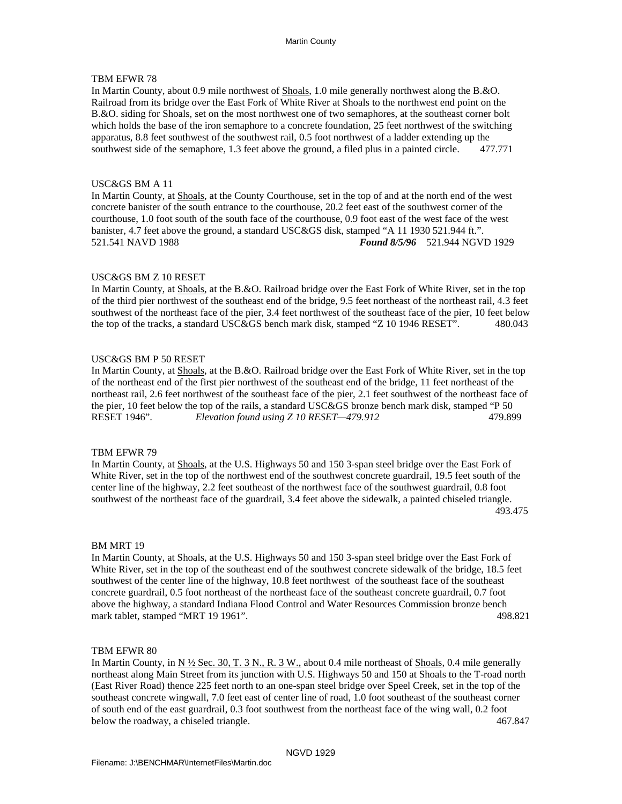In Martin County, about 0.9 mile northwest of Shoals, 1.0 mile generally northwest along the B.&O. Railroad from its bridge over the East Fork of White River at Shoals to the northwest end point on the B.&O. siding for Shoals, set on the most northwest one of two semaphores, at the southeast corner bolt which holds the base of the iron semaphore to a concrete foundation, 25 feet northwest of the switching apparatus, 8.8 feet southwest of the southwest rail, 0.5 foot northwest of a ladder extending up the southwest side of the semaphore, 1.3 feet above the ground, a filed plus in a painted circle. 477.771

# USC&GS BM A 11

In Martin County, at Shoals, at the County Courthouse, set in the top of and at the north end of the west concrete banister of the south entrance to the courthouse, 20.2 feet east of the southwest corner of the courthouse, 1.0 foot south of the south face of the courthouse, 0.9 foot east of the west face of the west banister, 4.7 feet above the ground, a standard USC&GS disk, stamped "A 11 1930 521.944 ft.". 521.541 NAVD 1988 *Found 8/5/96* 521.944 NGVD 1929

### USC&GS BM Z 10 RESET

In Martin County, at Shoals, at the B.&O. Railroad bridge over the East Fork of White River, set in the top of the third pier northwest of the southeast end of the bridge, 9.5 feet northeast of the northeast rail, 4.3 feet southwest of the northeast face of the pier, 3.4 feet northwest of the southeast face of the pier, 10 feet below the top of the tracks, a standard USC&GS bench mark disk, stamped "Z 10 1946 RESET". 480.043

### USC&GS BM P 50 RESET

In Martin County, at Shoals, at the B.&O. Railroad bridge over the East Fork of White River, set in the top of the northeast end of the first pier northwest of the southeast end of the bridge, 11 feet northeast of the northeast rail, 2.6 feet northwest of the southeast face of the pier, 2.1 feet southwest of the northeast face of the pier, 10 feet below the top of the rails, a standard USC&GS bronze bench mark disk, stamped "P 50 RESET 1946". *Elevation found using Z 10 RESET—479.912* 479.899

### TBM EFWR 79

In Martin County, at Shoals, at the U.S. Highways 50 and 150 3-span steel bridge over the East Fork of White River, set in the top of the northwest end of the southwest concrete guardrail, 19.5 feet south of the center line of the highway, 2.2 feet southeast of the northwest face of the southwest guardrail, 0.8 foot southwest of the northeast face of the guardrail, 3.4 feet above the sidewalk, a painted chiseled triangle. 493.475

### BM MRT 19

In Martin County, at Shoals, at the U.S. Highways 50 and 150 3-span steel bridge over the East Fork of White River, set in the top of the southeast end of the southwest concrete sidewalk of the bridge, 18.5 feet southwest of the center line of the highway, 10.8 feet northwest of the southeast face of the southeast concrete guardrail, 0.5 foot northeast of the northeast face of the southeast concrete guardrail, 0.7 foot above the highway, a standard Indiana Flood Control and Water Resources Commission bronze bench mark tablet, stamped "MRT 19 1961". 498.821

#### TBM EFWR 80

In Martin County, in  $N \frac{1}{2}$  Sec. 30, T. 3 N., R. 3 W., about 0.4 mile northeast of Shoals, 0.4 mile generally northeast along Main Street from its junction with U.S. Highways 50 and 150 at Shoals to the T-road north (East River Road) thence 225 feet north to an one-span steel bridge over Speel Creek, set in the top of the southeast concrete wingwall, 7.0 feet east of center line of road, 1.0 foot southeast of the southeast corner of south end of the east guardrail, 0.3 foot southwest from the northeast face of the wing wall, 0.2 foot below the roadway, a chiseled triangle. 467.847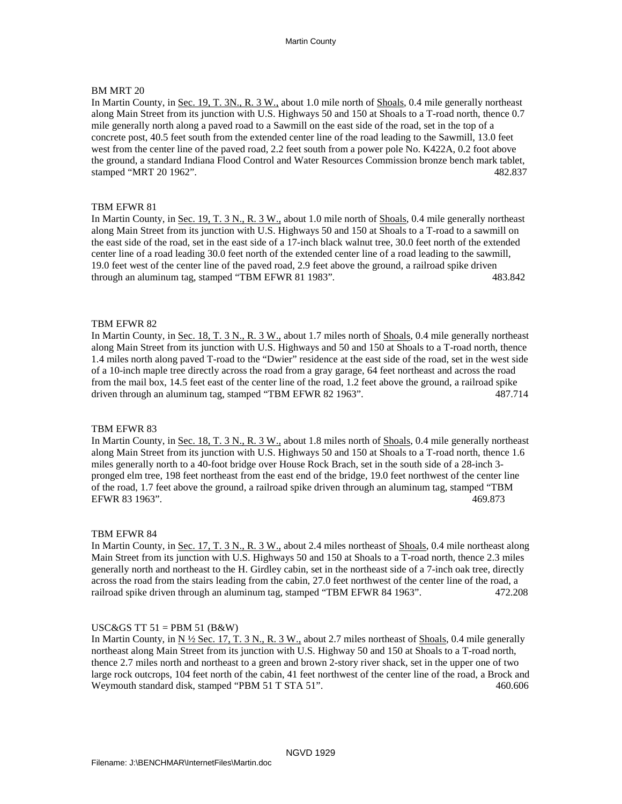### BM MRT 20

In Martin County, in Sec. 19, T. 3N., R. 3 W., about 1.0 mile north of Shoals, 0.4 mile generally northeast along Main Street from its junction with U.S. Highways 50 and 150 at Shoals to a T-road north, thence 0.7 mile generally north along a paved road to a Sawmill on the east side of the road, set in the top of a concrete post, 40.5 feet south from the extended center line of the road leading to the Sawmill, 13.0 feet west from the center line of the paved road, 2.2 feet south from a power pole No. K422A, 0.2 foot above the ground, a standard Indiana Flood Control and Water Resources Commission bronze bench mark tablet, stamped "MRT 20 1962". 482.837

### TBM EFWR 81

In Martin County, in Sec. 19, T. 3 N., R. 3 W., about 1.0 mile north of Shoals, 0.4 mile generally northeast along Main Street from its junction with U.S. Highways 50 and 150 at Shoals to a T-road to a sawmill on the east side of the road, set in the east side of a 17-inch black walnut tree, 30.0 feet north of the extended center line of a road leading 30.0 feet north of the extended center line of a road leading to the sawmill, 19.0 feet west of the center line of the paved road, 2.9 feet above the ground, a railroad spike driven through an aluminum tag, stamped "TBM EFWR 81 1983". 483.842

### TBM EFWR 82

In Martin County, in Sec. 18, T. 3 N., R. 3 W., about 1.7 miles north of Shoals, 0.4 mile generally northeast along Main Street from its junction with U.S. Highways and 50 and 150 at Shoals to a T-road north, thence 1.4 miles north along paved T-road to the "Dwier" residence at the east side of the road, set in the west side of a 10-inch maple tree directly across the road from a gray garage, 64 feet northeast and across the road from the mail box, 14.5 feet east of the center line of the road, 1.2 feet above the ground, a railroad spike driven through an aluminum tag, stamped "TBM EFWR 82 1963". 487.714

### TBM EFWR 83

In Martin County, in Sec. 18, T. 3 N., R. 3 W., about 1.8 miles north of Shoals, 0.4 mile generally northeast along Main Street from its junction with U.S. Highways 50 and 150 at Shoals to a T-road north, thence 1.6 miles generally north to a 40-foot bridge over House Rock Brach, set in the south side of a 28-inch 3 pronged elm tree, 198 feet northeast from the east end of the bridge, 19.0 feet northwest of the center line of the road, 1.7 feet above the ground, a railroad spike driven through an aluminum tag, stamped "TBM EFWR 83 1963". 469.873

#### TBM EFWR 84

In Martin County, in Sec. 17, T. 3 N., R. 3 W., about 2.4 miles northeast of Shoals, 0.4 mile northeast along Main Street from its junction with U.S. Highways 50 and 150 at Shoals to a T-road north, thence 2.3 miles generally north and northeast to the H. Girdley cabin, set in the northeast side of a 7-inch oak tree, directly across the road from the stairs leading from the cabin, 27.0 feet northwest of the center line of the road, a railroad spike driven through an aluminum tag, stamped "TBM EFWR 84 1963". 472.208

### USC&GS TT  $51 =$ PBM  $51$  (B&W)

In Martin County, in  $N \frac{1}{2}$  Sec. 17, T. 3 N., R. 3 W., about 2.7 miles northeast of Shoals, 0.4 mile generally northeast along Main Street from its junction with U.S. Highway 50 and 150 at Shoals to a T-road north, thence 2.7 miles north and northeast to a green and brown 2-story river shack, set in the upper one of two large rock outcrops, 104 feet north of the cabin, 41 feet northwest of the center line of the road, a Brock and Weymouth standard disk, stamped "PBM 51 T STA 51". 460.606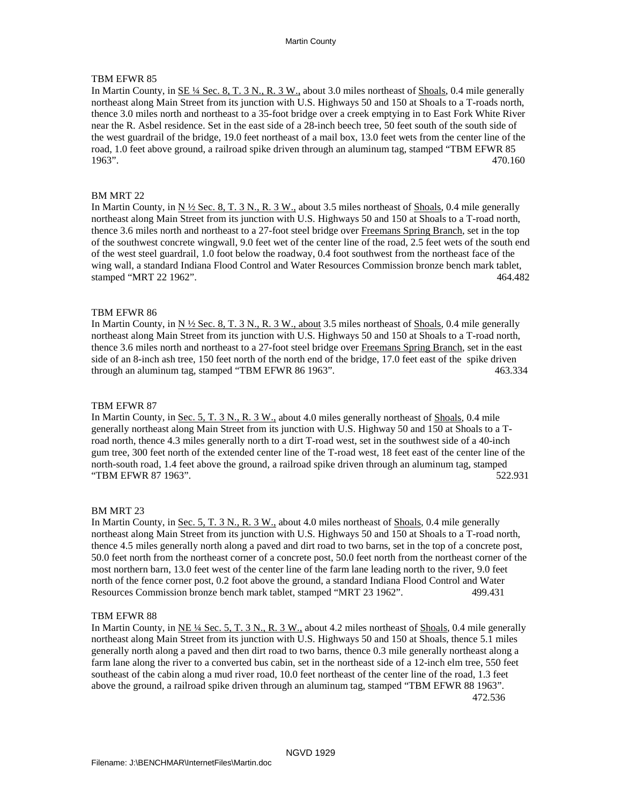In Martin County, in <u>SE ¼ Sec. 8, T. 3 N., R. 3 W.</u>, about 3.0 miles northeast of Shoals, 0.4 mile generally northeast along Main Street from its junction with U.S. Highways 50 and 150 at Shoals to a T-roads north, thence 3.0 miles north and northeast to a 35-foot bridge over a creek emptying in to East Fork White River near the R. Asbel residence. Set in the east side of a 28-inch beech tree, 50 feet south of the south side of the west guardrail of the bridge, 19.0 feet northeast of a mail box, 13.0 feet wets from the center line of the road, 1.0 feet above ground, a railroad spike driven through an aluminum tag, stamped "TBM EFWR 85 1963". 470.160

# BM MRT 22

In Martin County, in N  $\frac{1}{2}$  Sec. 8, T. 3 N., R. 3 W., about 3.5 miles northeast of Shoals, 0.4 mile generally northeast along Main Street from its junction with U.S. Highways 50 and 150 at Shoals to a T-road north, thence 3.6 miles north and northeast to a 27-foot steel bridge over Freemans Spring Branch, set in the top of the southwest concrete wingwall, 9.0 feet wet of the center line of the road, 2.5 feet wets of the south end of the west steel guardrail, 1.0 foot below the roadway, 0.4 foot southwest from the northeast face of the wing wall, a standard Indiana Flood Control and Water Resources Commission bronze bench mark tablet, stamped "MRT 22 1962". 464.482

## TBM EFWR 86

In Martin County, in N  $\frac{1}{2}$  Sec. 8, T. 3 N., R. 3 W., about 3.5 miles northeast of Shoals, 0.4 mile generally northeast along Main Street from its junction with U.S. Highways 50 and 150 at Shoals to a T-road north, thence 3.6 miles north and northeast to a 27-foot steel bridge over Freemans Spring Branch, set in the east side of an 8-inch ash tree, 150 feet north of the north end of the bridge, 17.0 feet east of the spike driven through an aluminum tag, stamped "TBM EFWR 86 1963". 463.334

### TBM EFWR 87

In Martin County, in Sec. 5, T. 3 N., R. 3 W., about 4.0 miles generally northeast of Shoals, 0.4 mile generally northeast along Main Street from its junction with U.S. Highway 50 and 150 at Shoals to a T road north, thence 4.3 miles generally north to a dirt T-road west, set in the southwest side of a 40-inch gum tree, 300 feet north of the extended center line of the T-road west, 18 feet east of the center line of the north-south road, 1.4 feet above the ground, a railroad spike driven through an aluminum tag, stamped "TBM EFWR 87 1963". 522.931

### BM MRT 23

In Martin County, in Sec. 5, T. 3 N., R. 3 W., about 4.0 miles northeast of Shoals, 0.4 mile generally northeast along Main Street from its junction with U.S. Highways 50 and 150 at Shoals to a T-road north, thence 4.5 miles generally north along a paved and dirt road to two barns, set in the top of a concrete post, 50.0 feet north from the northeast corner of a concrete post, 50.0 feet north from the northeast corner of the most northern barn, 13.0 feet west of the center line of the farm lane leading north to the river, 9.0 feet north of the fence corner post, 0.2 foot above the ground, a standard Indiana Flood Control and Water Resources Commission bronze bench mark tablet, stamped "MRT 23 1962". 499.431

### TBM EFWR 88

In Martin County, in NE <sup>1</sup>/<sub>4</sub> Sec. 5, T. 3 N., R. 3 W., about 4.2 miles northeast of Shoals, 0.4 mile generally northeast along Main Street from its junction with U.S. Highways 50 and 150 at Shoals, thence 5.1 miles generally north along a paved and then dirt road to two barns, thence 0.3 mile generally northeast along a farm lane along the river to a converted bus cabin, set in the northeast side of a 12-inch elm tree, 550 feet southeast of the cabin along a mud river road, 10.0 feet northeast of the center line of the road, 1.3 feet above the ground, a railroad spike driven through an aluminum tag, stamped "TBM EFWR 88 1963". 472.536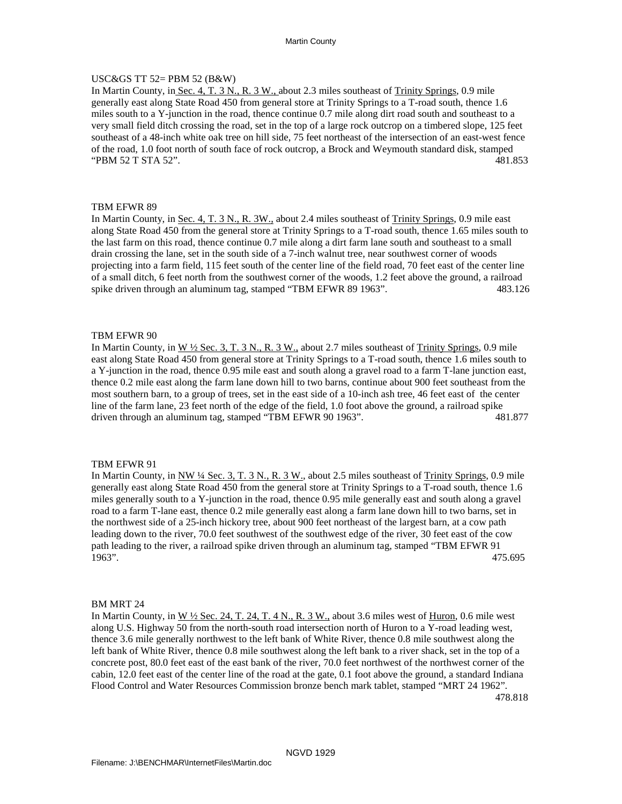# USC&GS TT 52= PBM 52 (B&W)

In Martin County, in Sec. 4, T. 3 N., R. 3 W., about 2.3 miles southeast of Trinity Springs, 0.9 mile generally east along State Road 450 from general store at Trinity Springs to a T-road south, thence 1.6 miles south to a Y-junction in the road, thence continue 0.7 mile along dirt road south and southeast to a very small field ditch crossing the road, set in the top of a large rock outcrop on a timbered slope, 125 feet southeast of a 48-inch white oak tree on hill side, 75 feet northeast of the intersection of an east-west fence of the road, 1.0 foot north of south face of rock outcrop, a Brock and Weymouth standard disk, stamped "PBM 52 T STA 52". 481.853

### TBM EFWR 89

In Martin County, in Sec. 4, T. 3 N., R. 3W., about 2.4 miles southeast of Trinity Springs, 0.9 mile east along State Road 450 from the general store at Trinity Springs to a T-road south, thence 1.65 miles south to the last farm on this road, thence continue 0.7 mile along a dirt farm lane south and southeast to a small drain crossing the lane, set in the south side of a 7-inch walnut tree, near southwest corner of woods projecting into a farm field, 115 feet south of the center line of the field road, 70 feet east of the center line of a small ditch, 6 feet north from the southwest corner of the woods, 1.2 feet above the ground, a railroad spike driven through an aluminum tag, stamped "TBM EFWR 89 1963". 483.126

### TBM EFWR 90

In Martin County, in W 1/2 Sec. 3, T. 3 N., R. 3 W., about 2.7 miles southeast of Trinity Springs, 0.9 mile east along State Road 450 from general store at Trinity Springs to a T-road south, thence 1.6 miles south to a Y-junction in the road, thence 0.95 mile east and south along a gravel road to a farm T-lane junction east, thence 0.2 mile east along the farm lane down hill to two barns, continue about 900 feet southeast from the most southern barn, to a group of trees, set in the east side of a 10-inch ash tree, 46 feet east of the center line of the farm lane, 23 feet north of the edge of the field, 1.0 foot above the ground, a railroad spike driven through an aluminum tag, stamped "TBM EFWR 90 1963". 481.877

### TBM EFWR 91

In Martin County, in NW <sup>1</sup>/<sub>4</sub> Sec. 3, T. 3 N., R. 3 W., about 2.5 miles southeast of Trinity Springs, 0.9 mile generally east along State Road 450 from the general store at Trinity Springs to a T-road south, thence 1.6 miles generally south to a Y-junction in the road, thence 0.95 mile generally east and south along a gravel road to a farm T-lane east, thence 0.2 mile generally east along a farm lane down hill to two barns, set in the northwest side of a 25-inch hickory tree, about 900 feet northeast of the largest barn, at a cow path leading down to the river, 70.0 feet southwest of the southwest edge of the river, 30 feet east of the cow path leading to the river, a railroad spike driven through an aluminum tag, stamped "TBM EFWR 91 1963". 475.695

### BM MRT 24

In Martin County, in  $W \frac{1}{2}$  Sec. 24, T. 24, T. 4 N., R. 3 W., about 3.6 miles west of Huron, 0.6 mile west along U.S. Highway 50 from the north-south road intersection north of Huron to a Y-road leading west, thence 3.6 mile generally northwest to the left bank of White River, thence 0.8 mile southwest along the left bank of White River, thence 0.8 mile southwest along the left bank to a river shack, set in the top of a concrete post, 80.0 feet east of the east bank of the river, 70.0 feet northwest of the northwest corner of the cabin, 12.0 feet east of the center line of the road at the gate, 0.1 foot above the ground, a standard Indiana Flood Control and Water Resources Commission bronze bench mark tablet, stamped "MRT 24 1962".

478.818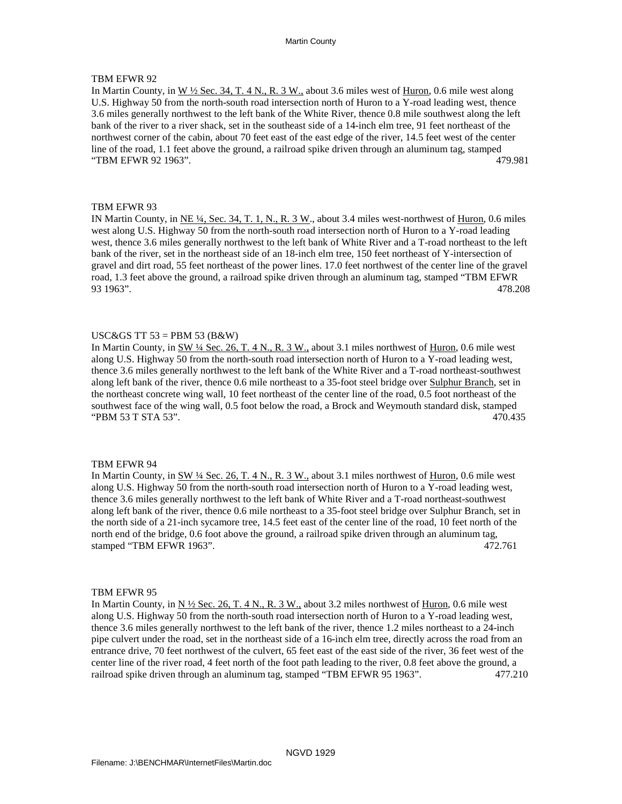In Martin County, in  $W \frac{1}{2}$  Sec. 34, T. 4 N., R. 3 W., about 3.6 miles west of Huron, 0.6 mile west along U.S. Highway 50 from the north-south road intersection north of Huron to a Y-road leading west, thence 3.6 miles generally northwest to the left bank of the White River, thence 0.8 mile southwest along the left bank of the river to a river shack, set in the southeast side of a 14-inch elm tree, 91 feet northeast of the northwest corner of the cabin, about 70 feet east of the east edge of the river, 14.5 feet west of the center line of the road, 1.1 feet above the ground, a railroad spike driven through an aluminum tag, stamped "TBM EFWR 92 1963". 479.981

### TBM EFWR 93

IN Martin County, in  $NE 4$ , Sec. 34, T. 1, N., R. 3 W., about 3.4 miles west-northwest of Huron, 0.6 miles west along U.S. Highway 50 from the north-south road intersection north of Huron to a Y-road leading west, thence 3.6 miles generally northwest to the left bank of White River and a T-road northeast to the left bank of the river, set in the northeast side of an 18-inch elm tree, 150 feet northeast of Y-intersection of gravel and dirt road, 55 feet northeast of the power lines. 17.0 feet northwest of the center line of the gravel road, 1.3 feet above the ground, a railroad spike driven through an aluminum tag, stamped "TBM EFWR 93 1963". 478.208

### USC&GS TT  $53 = PBM 53$  (B&W)

In Martin County, in SW ¼ Sec. 26, T. 4 N., R. 3 W., about 3.1 miles northwest of Huron, 0.6 mile west along U.S. Highway 50 from the north-south road intersection north of Huron to a Y-road leading west, thence 3.6 miles generally northwest to the left bank of the White River and a T-road northeast-southwest along left bank of the river, thence 0.6 mile northeast to a 35-foot steel bridge over Sulphur Branch, set in the northeast concrete wing wall, 10 feet northeast of the center line of the road, 0.5 foot northeast of the southwest face of the wing wall, 0.5 foot below the road, a Brock and Weymouth standard disk, stamped "PBM 53 T STA 53". 470.435

#### TBM EFWR 94

In Martin County, in SW  $\frac{1}{4}$  Sec. 26, T. 4 N., R. 3 W., about 3.1 miles northwest of Huron, 0.6 mile west along U.S. Highway 50 from the north-south road intersection north of Huron to a Y-road leading west, thence 3.6 miles generally northwest to the left bank of White River and a T-road northeast-southwest along left bank of the river, thence 0.6 mile northeast to a 35-foot steel bridge over Sulphur Branch, set in the north side of a 21-inch sycamore tree, 14.5 feet east of the center line of the road, 10 feet north of the north end of the bridge, 0.6 foot above the ground, a railroad spike driven through an aluminum tag, stamped "TBM EFWR 1963". 472.761

#### TBM EFWR 95

In Martin County, in  $N \frac{1}{2}$  Sec. 26, T. 4 N., R. 3 W., about 3.2 miles northwest of  $\underline{Huron}$ , 0.6 mile west along U.S. Highway 50 from the north-south road intersection north of Huron to a Y-road leading west, thence 3.6 miles generally northwest to the left bank of the river, thence 1.2 miles northeast to a 24-inch pipe culvert under the road, set in the northeast side of a 16-inch elm tree, directly across the road from an entrance drive, 70 feet northwest of the culvert, 65 feet east of the east side of the river, 36 feet west of the center line of the river road, 4 feet north of the foot path leading to the river, 0.8 feet above the ground, a railroad spike driven through an aluminum tag, stamped "TBM EFWR 95 1963". 477.210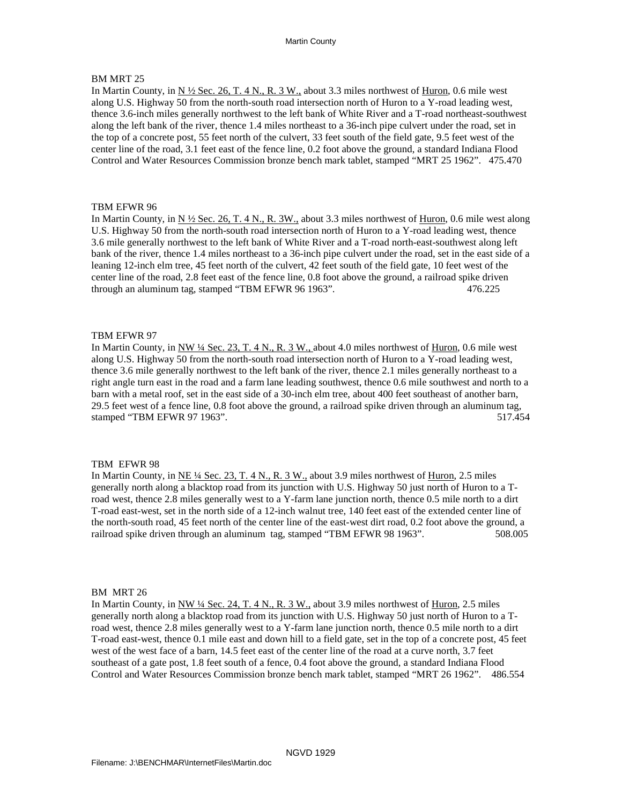# BM MRT 25

In Martin County, in <u>N ½ Sec. 26, T. 4 N., R. 3 W.,</u> about 3.3 miles northwest of  $\underline{Huron}$ , 0.6 mile west along U.S. Highway 50 from the north-south road intersection north of Huron to a Y-road leading west, thence 3.6-inch miles generally northwest to the left bank of White River and a T-road northeast-southwest along the left bank of the river, thence 1.4 miles northeast to a 36-inch pipe culvert under the road, set in the top of a concrete post, 55 feet north of the culvert, 33 feet south of the field gate, 9.5 feet west of the center line of the road, 3.1 feet east of the fence line, 0.2 foot above the ground, a standard Indiana Flood Control and Water Resources Commission bronze bench mark tablet, stamped "MRT 25 1962". 475.470

### TBM EFWR 96

In Martin County, in  $N \frac{1}{2}$  Sec. 26, T. 4 N., R. 3W., about 3.3 miles northwest of Huron, 0.6 mile west along U.S. Highway 50 from the north-south road intersection north of Huron to a Y-road leading west, thence 3.6 mile generally northwest to the left bank of White River and a T-road north-east-southwest along left bank of the river, thence 1.4 miles northeast to a 36-inch pipe culvert under the road, set in the east side of a leaning 12-inch elm tree, 45 feet north of the culvert, 42 feet south of the field gate, 10 feet west of the center line of the road, 2.8 feet east of the fence line, 0.8 foot above the ground, a railroad spike driven through an aluminum tag, stamped "TBM EFWR 96 1963". 476.225

### TBM EFWR 97

In Martin County, in NW 1/4 Sec. 23, T. 4 N., R. 3 W., about 4.0 miles northwest of Huron, 0.6 mile west along U.S. Highway 50 from the north-south road intersection north of Huron to a Y-road leading west, thence 3.6 mile generally northwest to the left bank of the river, thence 2.1 miles generally northeast to a right angle turn east in the road and a farm lane leading southwest, thence 0.6 mile southwest and north to a barn with a metal roof, set in the east side of a 30-inch elm tree, about 400 feet southeast of another barn, 29.5 feet west of a fence line, 0.8 foot above the ground, a railroad spike driven through an aluminum tag, stamped "TBM EFWR 97 1963". 517.454

### TBM EFWR 98

In Martin County, in  $NE$   $\frac{1}{4}$  Sec. 23, T. 4 N., R. 3 W., about 3.9 miles northwest of Huron, 2.5 miles generally north along a blacktop road from its junction with U.S. Highway 50 just north of Huron to a T road west, thence 2.8 miles generally west to a Y-farm lane junction north, thence 0.5 mile north to a dirt T-road east-west, set in the north side of a 12-inch walnut tree, 140 feet east of the extended center line of the north-south road, 45 feet north of the center line of the east-west dirt road, 0.2 foot above the ground, a railroad spike driven through an aluminum tag, stamped "TBM EFWR 98 1963". 508.005

#### BM MRT 26

In Martin County, in NW <sup>1</sup>/4 Sec. 24, T. 4 N., R. 3 W., about 3.9 miles northwest of Huron, 2.5 miles generally north along a blacktop road from its junction with U.S. Highway 50 just north of Huron to a T road west, thence 2.8 miles generally west to a Y-farm lane junction north, thence 0.5 mile north to a dirt T-road east-west, thence 0.1 mile east and down hill to a field gate, set in the top of a concrete post, 45 feet west of the west face of a barn, 14.5 feet east of the center line of the road at a curve north, 3.7 feet southeast of a gate post, 1.8 feet south of a fence, 0.4 foot above the ground, a standard Indiana Flood Control and Water Resources Commission bronze bench mark tablet, stamped "MRT 26 1962". 486.554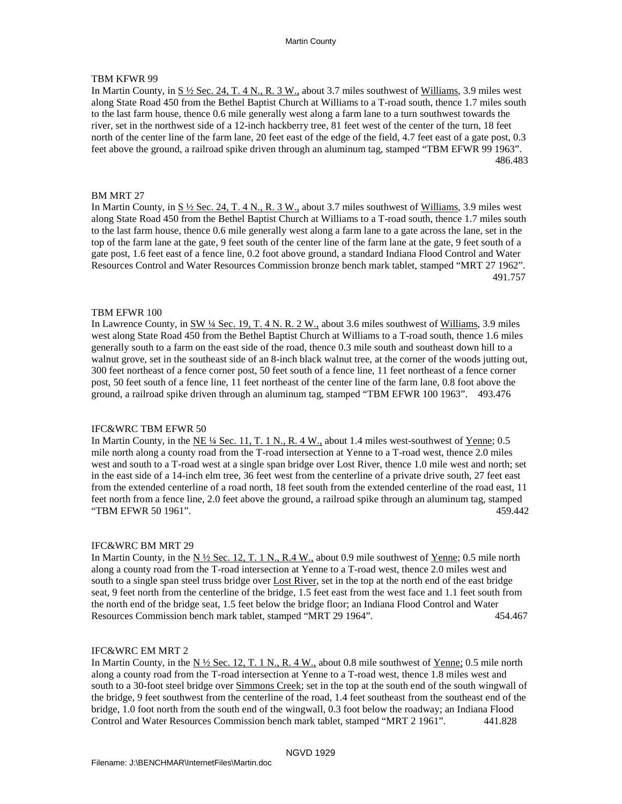# TBM KFWR 99

In Martin County, in  $S\frac{1}{2}$  Sec. 24, T. 4 N., R. 3 W., about 3.7 miles southwest of Williams, 3.9 miles west along State Road 450 from the Bethel Baptist Church at Williams to a T-road south, thence 1.7 miles south to the last farm house, thence 0.6 mile generally west along a farm lane to a turn southwest towards the river, set in the northwest side of a 12-inch hackberry tree, 81 feet west of the center of the turn, 18 feet north of the center line of the farm lane, 20 feet east of the edge of the field, 4.7 feet east of a gate post, 0.3 feet above the ground, a railroad spike driven through an aluminum tag, stamped "TBM EFWR 99 1963". 486.483

### BM MRT 27

In Martin County, in  $S\frac{1}{2}$  Sec. 24, T. 4 N., R. 3 W., about 3.7 miles southwest of Williams, 3.9 miles west along State Road 450 from the Bethel Baptist Church at Williams to a T-road south, thence 1.7 miles south to the last farm house, thence 0.6 mile generally west along a farm lane to a gate across the lane, set in the top of the farm lane at the gate, 9 feet south of the center line of the farm lane at the gate, 9 feet south of a gate post, 1.6 feet east of a fence line, 0.2 foot above ground, a standard Indiana Flood Control and Water Resources Control and Water Resources Commission bronze bench mark tablet, stamped "MRT 27 1962". 491.757

### TBM EFWR 100

In Lawrence County, in SW 14 Sec. 19, T. 4 N. R. 2 W., about 3.6 miles southwest of Williams, 3.9 miles west along State Road 450 from the Bethel Baptist Church at Williams to a T-road south, thence 1.6 miles generally south to a farm on the east side of the road, thence 0.3 mile south and southeast down hill to a walnut grove, set in the southeast side of an 8-inch black walnut tree, at the corner of the woods jutting out, 300 feet northeast of a fence corner post, 50 feet south of a fence line, 11 feet northeast of a fence corner post, 50 feet south of a fence line, 11 feet northeast of the center line of the farm lane, 0.8 foot above the ground, a railroad spike driven through an aluminum tag, stamped "TBM EFWR 100 1963". 493.476

#### IFC&WRC TBM EFWR 50

In Martin County, in the NE 1/4 Sec. 11, T. 1 N., R. 4 W., about 1.4 miles west-southwest of Yenne; 0.5 mile north along a county road from the T-road intersection at Yenne to a T-road west, thence 2.0 miles west and south to a T-road west at a single span bridge over Lost River, thence 1.0 mile west and north; set in the east side of a 14-inch elm tree, 36 feet west from the centerline of a private drive south, 27 feet east from the extended centerline of a road north, 18 feet south from the extended centerline of the road east, 11 feet north from a fence line, 2.0 feet above the ground, a railroad spike through an aluminum tag, stamped "TBM EFWR 50 1961". 459.442

#### IFC&WRC BM MRT 29

In Martin County, in the  $N \frac{1}{2}$  Sec. 12, T. 1 N., R.4 W., about 0.9 mile southwest of Yenne; 0.5 mile north along a county road from the T-road intersection at Yenne to a T-road west, thence 2.0 miles west and south to a single span steel truss bridge over Lost River, set in the top at the north end of the east bridge seat, 9 feet north from the centerline of the bridge, 1.5 feet east from the west face and 1.1 feet south from the north end of the bridge seat, 1.5 feet below the bridge floor; an Indiana Flood Control and Water Resources Commission bench mark tablet, stamped "MRT 29 1964". 454.467

#### IFC&WRC EM MRT 2

In Martin County, in the  $N \frac{1}{2}$  Sec. 12, T. 1 N., R. 4 W., about 0.8 mile southwest of Yenne; 0.5 mile north along a county road from the T-road intersection at Yenne to a T-road west, thence 1.8 miles west and south to a 30-foot steel bridge over Simmons Creek; set in the top at the south end of the south wingwall of the bridge, 9 feet southwest from the centerline of the road, 1.4 feet southeast from the southeast end of the bridge, 1.0 foot north from the south end of the wingwall, 0.3 foot below the roadway; an Indiana Flood Control and Water Resources Commission bench mark tablet, stamped "MRT 2 1961". 441.828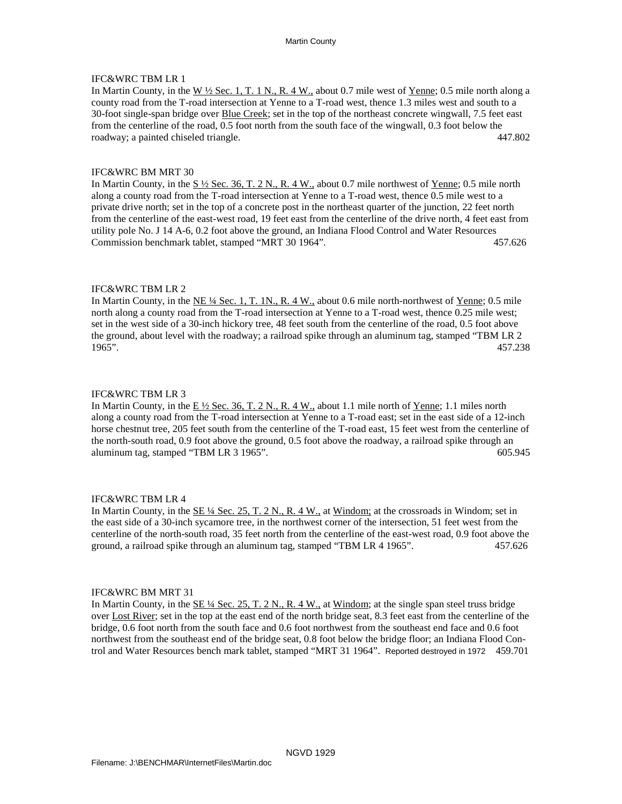In Martin County, in the W ½ Sec. 1, T. 1 N., R. 4 W., about 0.7 mile west of Yenne; 0.5 mile north along a county road from the T-road intersection at Yenne to a T-road west, thence 1.3 miles west and south to a 30-foot single-span bridge over **Blue Creek**; set in the top of the northeast concrete wingwall, 7.5 feet east from the centerline of the road, 0.5 foot north from the south face of the wingwall, 0.3 foot below the roadway; a painted chiseled triangle. 447.802

### IFC&WRC BM MRT 30

In Martin County, in the  $S \frac{1}{2}$  Sec. 36, T. 2 N., R. 4 W., about 0.7 mile northwest of Yenne; 0.5 mile north along a county road from the T-road intersection at Yenne to a T-road west, thence 0.5 mile west to a private drive north; set in the top of a concrete post in the northeast quarter of the junction, 22 feet north from the centerline of the east-west road, 19 feet east from the centerline of the drive north, 4 feet east from utility pole No. J 14 A-6, 0.2 foot above the ground, an Indiana Flood Control and Water Resources Commission benchmark tablet, stamped "MRT 30 1964". 457.626

### IFC&WRC TBM LR 2

In Martin County, in the <u>NE ¼ Sec. 1, T. 1N., R. 4 W.,</u> about 0.6 mile north-northwest of <u>Yenne</u>; 0.5 mile north along a county road from the T-road intersection at Yenne to a T-road west, thence 0.25 mile west; set in the west side of a 30-inch hickory tree, 48 feet south from the centerline of the road, 0.5 foot above the ground, about level with the roadway; a railroad spike through an aluminum tag, stamped "TBM LR 2 1965". 457.238 457.238

### IFC&WRC TBM LR 3

In Martin County, in the  $E\frac{1}{2}$  Sec. 36, T. 2 N., R. 4 W., about 1.1 mile north of Yenne; 1.1 miles north along a county road from the T-road intersection at Yenne to a T-road east; set in the east side of a 12-inch horse chestnut tree, 205 feet south from the centerline of the T-road east, 15 feet west from the centerline of the north-south road, 0.9 foot above the ground, 0.5 foot above the roadway, a railroad spike through an aluminum tag, stamped "TBM LR 3 1965". 605.945

### IFC&WRC TBM LR 4

In Martin County, in the <u>SE ¼ Sec. 25, T. 2 N., R. 4 W.,</u> at Windom; at the crossroads in Windom; set in the east side of a 30-inch sycamore tree, in the northwest corner of the intersection, 51 feet west from the centerline of the north-south road, 35 feet north from the centerline of the east-west road, 0.9 foot above the ground, a railroad spike through an aluminum tag, stamped "TBM LR 4 1965". 457.626

### IFC&WRC BM MRT 31

In Martin County, in the  $\underline{\text{SE 1/4} \text{ Sec. 25, T. 2 N.}}$ , R. 4 W., at Windom; at the single span steel truss bridge over Lost River; set in the top at the east end of the north bridge seat, 8.3 feet east from the centerline of the bridge, 0.6 foot north from the south face and 0.6 foot northwest from the southeast end face and 0.6 foot northwest from the southeast end of the bridge seat, 0.8 foot below the bridge floor; an Indiana Flood Con trol and Water Resources bench mark tablet, stamped "MRT 31 1964". Reported destroyed in 1972 459.701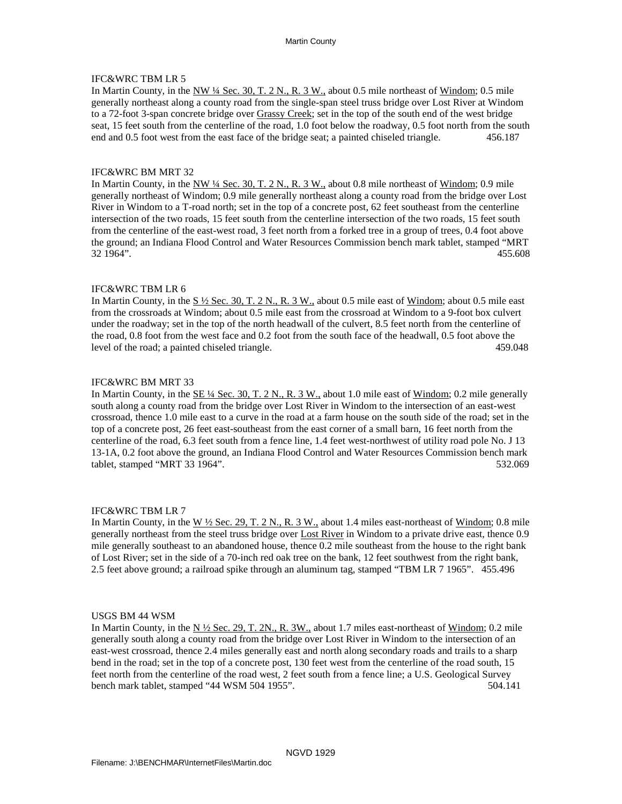In Martin County, in the NW ¼ Sec. 30, T. 2 N., R. 3 W., about 0.5 mile northeast of Windom; 0.5 mile generally northeast along a county road from the single-span steel truss bridge over Lost River at Windom to a 72-foot 3-span concrete bridge over Grassy Creek; set in the top of the south end of the west bridge seat, 15 feet south from the centerline of the road, 1.0 foot below the roadway, 0.5 foot north from the south end and 0.5 foot west from the east face of the bridge seat; a painted chiseled triangle. 456.187

### IFC&WRC BM MRT 32

In Martin County, in the NW 1/4 Sec. 30, T. 2 N., R. 3 W., about 0.8 mile northeast of Windom; 0.9 mile generally northeast of Windom; 0.9 mile generally northeast along a county road from the bridge over Lost River in Windom to a T-road north; set in the top of a concrete post, 62 feet southeast from the centerline intersection of the two roads, 15 feet south from the centerline intersection of the two roads, 15 feet south from the centerline of the east-west road, 3 feet north from a forked tree in a group of trees, 0.4 foot above the ground; an Indiana Flood Control and Water Resources Commission bench mark tablet, stamped "MRT 32 1964". 455.608

### IFC&WRC TBM LR 6

In Martin County, in the S  $\frac{1}{2}$  Sec. 30, T. 2 N., R. 3 W., about 0.5 mile east of Windom; about 0.5 mile east from the crossroads at Windom; about 0.5 mile east from the crossroad at Windom to a 9-foot box culvert under the roadway; set in the top of the north headwall of the culvert, 8.5 feet north from the centerline of the road, 0.8 foot from the west face and 0.2 foot from the south face of the headwall, 0.5 foot above the level of the road; a painted chiseled triangle. 459.048

### IFC&WRC BM MRT 33

In Martin County, in the <u>SE ¼ Sec. 30, T. 2 N., R. 3 W.,</u> about 1.0 mile east of <u>Windom</u>; 0.2 mile generally south along a county road from the bridge over Lost River in Windom to the intersection of an east-west crossroad, thence 1.0 mile east to a curve in the road at a farm house on the south side of the road; set in the top of a concrete post, 26 feet east-southeast from the east corner of a small barn, 16 feet north from the centerline of the road, 6.3 feet south from a fence line, 1.4 feet west-northwest of utility road pole No. J 13 13-1A, 0.2 foot above the ground, an Indiana Flood Control and Water Resources Commission bench mark tablet, stamped "MRT 33 1964". 532.069

### IFC&WRC TBM LR 7

In Martin County, in the W ½ Sec. 29, T. 2 N., R. 3 W., about 1.4 miles east-northeast of Windom; 0.8 mile generally northeast from the steel truss bridge over **Lost River** in Windom to a private drive east, thence 0.9 mile generally southeast to an abandoned house, thence 0.2 mile southeast from the house to the right bank of Lost River; set in the side of a 70-inch red oak tree on the bank, 12 feet southwest from the right bank, 2.5 feet above ground; a railroad spike through an aluminum tag, stamped "TBM LR 7 1965". 455.496

#### USGS BM 44 WSM

In Martin County, in the  $N \frac{1}{2}$  Sec. 29, T. 2N., R. 3W., about 1.7 miles east-northeast of Windom; 0.2 mile generally south along a county road from the bridge over Lost River in Windom to the intersection of an east-west crossroad, thence 2.4 miles generally east and north along secondary roads and trails to a sharp bend in the road; set in the top of a concrete post, 130 feet west from the centerline of the road south, 15 feet north from the centerline of the road west, 2 feet south from a fence line; a U.S. Geological Survey bench mark tablet, stamped "44 WSM 504 1955". 504.141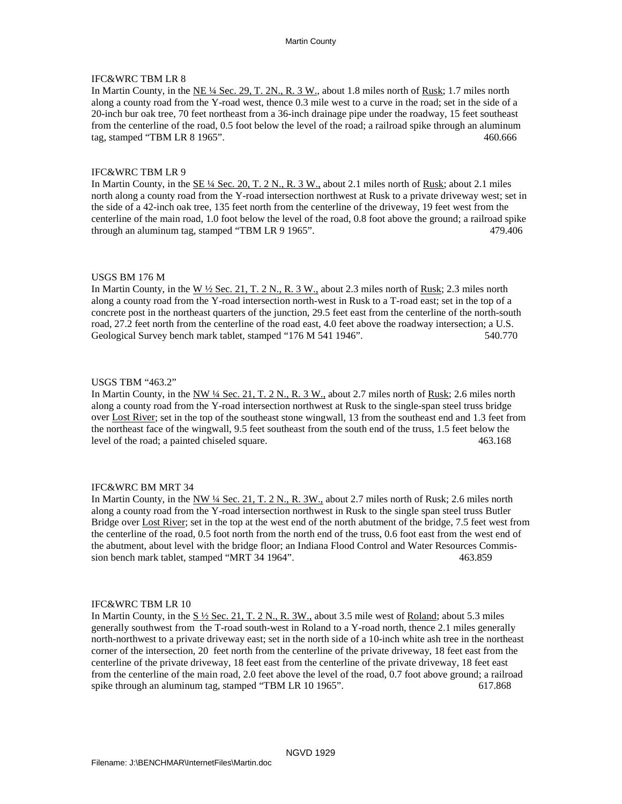In Martin County, in the  $NE\frac{1}{4}$  Sec. 29, T. 2N., R. 3 W., about 1.8 miles north of Rusk; 1.7 miles north along a county road from the Y-road west, thence 0.3 mile west to a curve in the road; set in the side of a 20-inch bur oak tree, 70 feet northeast from a 36-inch drainage pipe under the roadway, 15 feet southeast from the centerline of the road, 0.5 foot below the level of the road; a railroad spike through an aluminum tag, stamped "TBM LR 8 1965". 460.666

### IFC&WRC TBM LR 9

In Martin County, in the  $\underline{\text{SE 4/}4 \text{ Sec. 20, T. 2 N.}}$ , R. 3 W., about 2.1 miles north of Rusk; about 2.1 miles north along a county road from the Y-road intersection northwest at Rusk to a private driveway west; set in the side of a 42-inch oak tree, 135 feet north from the centerline of the driveway, 19 feet west from the centerline of the main road, 1.0 foot below the level of the road, 0.8 foot above the ground; a railroad spike through an aluminum tag, stamped "TBM LR 9 1965". 479.406

### USGS BM 176 M

In Martin County, in the  $W \frac{1}{2}$  Sec. 21, T. 2 N., R. 3 W., about 2.3 miles north of Rusk; 2.3 miles north along a county road from the Y-road intersection north-west in Rusk to a T-road east; set in the top of a concrete post in the northeast quarters of the junction, 29.5 feet east from the centerline of the north-south road, 27.2 feet north from the centerline of the road east, 4.0 feet above the roadway intersection; a U.S. Geological Survey bench mark tablet, stamped "176 M 541 1946". 540.770

### USGS TBM "463.2"

In Martin County, in the <u>NW ¼ Sec. 21, T. 2 N., R. 3 W.,</u> about 2.7 miles north of <u>Rusk;</u> 2.6 miles north along a county road from the Y-road intersection northwest at Rusk to the single-span steel truss bridge over Lost River; set in the top of the southeast stone wingwall, 13 from the southeast end and 1.3 feet from the northeast face of the wingwall, 9.5 feet southeast from the south end of the truss, 1.5 feet below the level of the road; a painted chiseled square. 463.168

### IFC&WRC BM MRT 34

In Martin County, in the NW 1/4 Sec. 21, T. 2 N., R. 3W., about 2.7 miles north of Rusk; 2.6 miles north along a county road from the Y-road intersection northwest in Rusk to the single span steel truss Butler Bridge over **Lost River**; set in the top at the west end of the north abutment of the bridge, 7.5 feet west from the centerline of the road, 0.5 foot north from the north end of the truss, 0.6 foot east from the west end of the abutment, about level with the bridge floor; an Indiana Flood Control and Water Resources Commis sion bench mark tablet, stamped "MRT 34 1964". 463.859

### IFC&WRC TBM LR 10

In Martin County, in the  $S\frac{1}{2}$  Sec. 21, T. 2 N., R. 3W., about 3.5 mile west of Roland; about 5.3 miles generally southwest from the T-road south-west in Roland to a Y-road north, thence 2.1 miles generally north-northwest to a private driveway east; set in the north side of a 10-inch white ash tree in the northeast corner of the intersection, 20 feet north from the centerline of the private driveway, 18 feet east from the centerline of the private driveway, 18 feet east from the centerline of the private driveway, 18 feet east from the centerline of the main road, 2.0 feet above the level of the road, 0.7 foot above ground; a railroad spike through an aluminum tag, stamped "TBM LR 10 1965". 617.868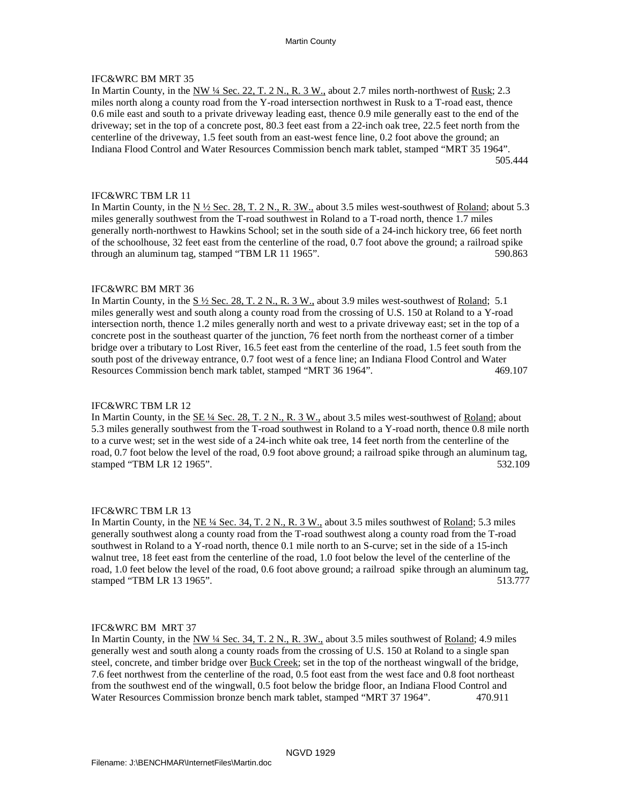# IFC&WRC BM MRT 35

In Martin County, in the NW ¼ Sec. 22, T. 2 N., R. 3 W., about 2.7 miles north-northwest of Rusk; 2.3 miles north along a county road from the Y-road intersection northwest in Rusk to a T-road east, thence 0.6 mile east and south to a private driveway leading east, thence 0.9 mile generally east to the end of the driveway; set in the top of a concrete post, 80.3 feet east from a 22-inch oak tree, 22.5 feet north from the centerline of the driveway, 1.5 feet south from an east-west fence line, 0.2 foot above the ground; an Indiana Flood Control and Water Resources Commission bench mark tablet, stamped "MRT 35 1964". 505.444

## IFC&WRC TBM LR 11

In Martin County, in the N  $\frac{1}{2}$  Sec. 28, T. 2 N., R. 3W., about 3.5 miles west-southwest of Roland; about 5.3 miles generally southwest from the T-road southwest in Roland to a T-road north, thence 1.7 miles generally north-northwest to Hawkins School; set in the south side of a 24-inch hickory tree, 66 feet north of the schoolhouse, 32 feet east from the centerline of the road, 0.7 foot above the ground; a railroad spike through an aluminum tag, stamped "TBM LR 11 1965". 590.863

### IFC&WRC BM MRT 36

In Martin County, in the  $S\frac{1}{2}$  Sec. 28, T. 2 N., R. 3 W., about 3.9 miles west-southwest of Roland; 5.1 miles generally west and south along a county road from the crossing of U.S. 150 at Roland to a Y-road intersection north, thence 1.2 miles generally north and west to a private driveway east; set in the top of a concrete post in the southeast quarter of the junction, 76 feet north from the northeast corner of a timber bridge over a tributary to Lost River, 16.5 feet east from the centerline of the road, 1.5 feet south from the south post of the driveway entrance, 0.7 foot west of a fence line; an Indiana Flood Control and Water Resources Commission bench mark tablet, stamped "MRT 36 1964". 469.107

### IFC&WRC TBM LR 12

In Martin County, in the SE 1/4 Sec. 28, T. 2 N., R. 3 W., about 3.5 miles west-southwest of Roland; about 5.3 miles generally southwest from the T-road southwest in Roland to a Y-road north, thence 0.8 mile north to a curve west; set in the west side of a 24-inch white oak tree, 14 feet north from the centerline of the road, 0.7 foot below the level of the road, 0.9 foot above ground; a railroad spike through an aluminum tag, stamped "TBM LR 12 1965". 532.109

### IFC&WRC TBM LR 13

In Martin County, in the NE ¼ Sec. 34, T. 2 N., R. 3 W., about 3.5 miles southwest of Roland; 5.3 miles generally southwest along a county road from the T-road southwest along a county road from the T-road southwest in Roland to a Y-road north, thence 0.1 mile north to an S-curve; set in the side of a 15-inch walnut tree, 18 feet east from the centerline of the road, 1.0 foot below the level of the centerline of the road, 1.0 feet below the level of the road, 0.6 foot above ground; a railroad spike through an aluminum tag, stamped "TBM LR 13 1965". 513.777

### IFC&WRC BM MRT 37

In Martin County, in the NW ¼ Sec. 34, T. 2 N., R. 3W., about 3.5 miles southwest of Roland; 4.9 miles generally west and south along a county roads from the crossing of U.S. 150 at Roland to a single span steel, concrete, and timber bridge over Buck Creek; set in the top of the northeast wingwall of the bridge, 7.6 feet northwest from the centerline of the road, 0.5 foot east from the west face and 0.8 foot northeast from the southwest end of the wingwall, 0.5 foot below the bridge floor, an Indiana Flood Control and Water Resources Commission bronze bench mark tablet, stamped "MRT 37 1964". 470.911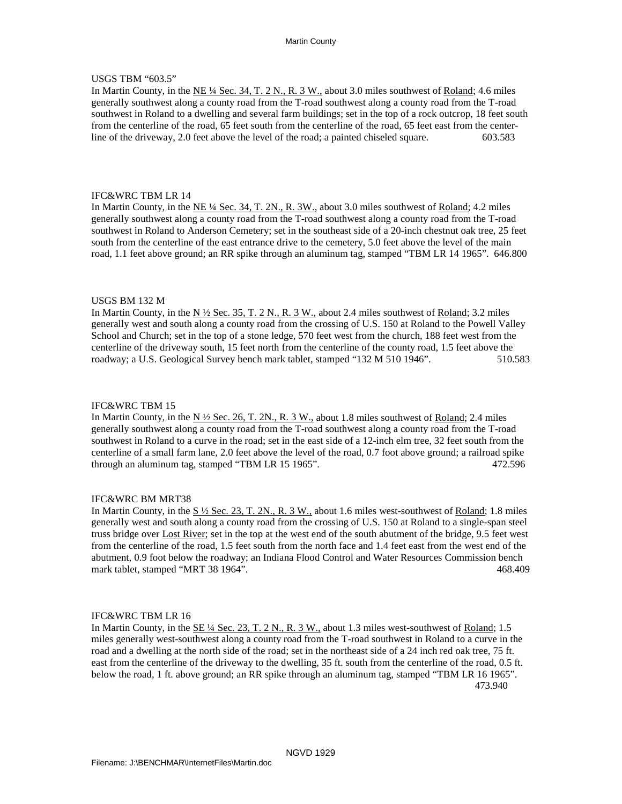# USGS TBM "603.5"

In Martin County, in the NE ¼ Sec. 34, T. 2 N., R. 3 W., about 3.0 miles southwest of Roland; 4.6 miles generally southwest along a county road from the T-road southwest along a county road from the T-road southwest in Roland to a dwelling and several farm buildings; set in the top of a rock outcrop, 18 feet south from the centerline of the road, 65 feet south from the centerline of the road, 65 feet east from the center line of the driveway, 2.0 feet above the level of the road; a painted chiseled square. 603.583

### IFC&WRC TBM LR 14

In Martin County, in the NE ¼ Sec. 34, T. 2N., R. 3W., about 3.0 miles southwest of Roland; 4.2 miles generally southwest along a county road from the T-road southwest along a county road from the T-road southwest in Roland to Anderson Cemetery; set in the southeast side of a 20-inch chestnut oak tree, 25 feet south from the centerline of the east entrance drive to the cemetery, 5.0 feet above the level of the main road, 1.1 feet above ground; an RR spike through an aluminum tag, stamped "TBM LR 14 1965". 646.800

### USGS BM 132 M

In Martin County, in the  $N \frac{1}{2}$  Sec. 35, T. 2 N., R. 3 W., about 2.4 miles southwest of Roland; 3.2 miles generally west and south along a county road from the crossing of U.S. 150 at Roland to the Powell Valley School and Church; set in the top of a stone ledge, 570 feet west from the church, 188 feet west from the centerline of the driveway south, 15 feet north from the centerline of the county road, 1.5 feet above the roadway; a U.S. Geological Survey bench mark tablet, stamped "132 M 510 1946". 510.583

### IFC&WRC TBM 15

In Martin County, in the  $N \frac{1}{2}$  Sec. 26, T. 2N., R. 3 W., about 1.8 miles southwest of Roland; 2.4 miles generally southwest along a county road from the T-road southwest along a county road from the T-road southwest in Roland to a curve in the road; set in the east side of a 12-inch elm tree, 32 feet south from the centerline of a small farm lane, 2.0 feet above the level of the road, 0.7 foot above ground; a railroad spike through an aluminum tag, stamped "TBM LR 15 1965". 472.596

#### IFC&WRC BM MRT38

In Martin County, in the  $S \frac{1}{2}$  Sec. 23, T. 2N., R. 3 W., about 1.6 miles west-southwest of Roland; 1.8 miles generally west and south along a county road from the crossing of U.S. 150 at Roland to a single-span steel truss bridge over **Lost River**; set in the top at the west end of the south abutment of the bridge, 9.5 feet west from the centerline of the road, 1.5 feet south from the north face and 1.4 feet east from the west end of the abutment, 0.9 foot below the roadway; an Indiana Flood Control and Water Resources Commission bench mark tablet, stamped "MRT 38 1964". 468.409

### IFC&WRC TBM LR 16

In Martin County, in the SE 1/4 Sec. 23, T. 2 N., R. 3 W., about 1.3 miles west-southwest of Roland; 1.5 miles generally west-southwest along a county road from the T-road southwest in Roland to a curve in the road and a dwelling at the north side of the road; set in the northeast side of a 24 inch red oak tree, 75 ft. east from the centerline of the driveway to the dwelling, 35 ft. south from the centerline of the road, 0.5 ft. below the road, 1 ft. above ground; an RR spike through an aluminum tag, stamped "TBM LR 16 1965". 473.940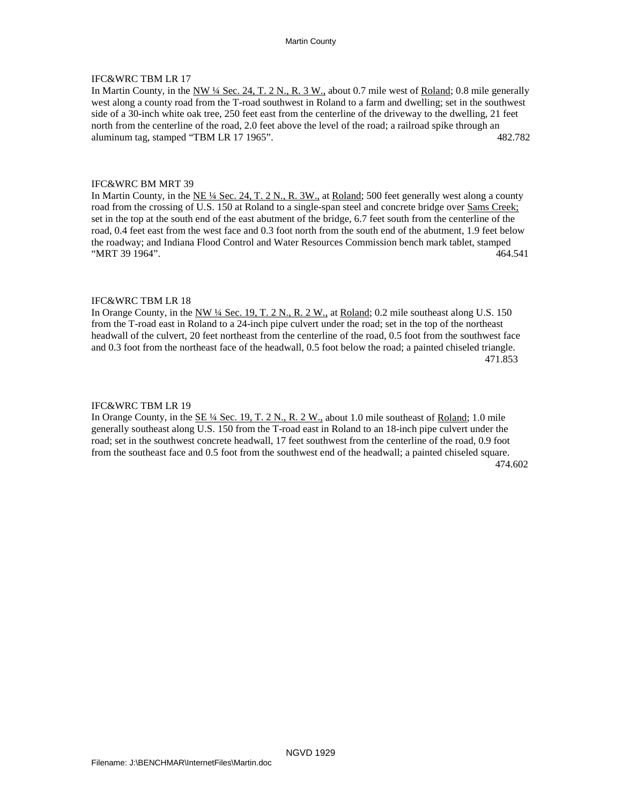In Martin County, in the <u>NW ¼ Sec. 24, T. 2 N., R. 3 W.,</u> about 0.7 mile west of <u>Roland</u>; 0.8 mile generally west along a county road from the T-road southwest in Roland to a farm and dwelling; set in the southwest side of a 30-inch white oak tree, 250 feet east from the centerline of the driveway to the dwelling, 21 feet north from the centerline of the road, 2.0 feet above the level of the road; a railroad spike through an aluminum tag, stamped "TBM LR 17 1965". 482.782

### IFC&WRC BM MRT 39

In Martin County, in the <u>NE ¼ Sec. 24, T. 2 N., R. 3W.</u>, at <u>Roland</u>; 500 feet generally west along a county road from the crossing of U.S. 150 at Roland to a single-span steel and concrete bridge over Sams Creek; set in the top at the south end of the east abutment of the bridge, 6.7 feet south from the centerline of the road, 0.4 feet east from the west face and 0.3 foot north from the south end of the abutment, 1.9 feet below the roadway; and Indiana Flood Control and Water Resources Commission bench mark tablet, stamped "MRT 39 1964". 464.541

### IFC&WRC TBM LR 18

In Orange County, in the NW <sup>1</sup>/4 Sec. 19, T. 2 N., R. 2 W., at Roland; 0.2 mile southeast along U.S. 150 from the T-road east in Roland to a 24-inch pipe culvert under the road; set in the top of the northeast headwall of the culvert, 20 feet northeast from the centerline of the road, 0.5 foot from the southwest face and 0.3 foot from the northeast face of the headwall, 0.5 foot below the road; a painted chiseled triangle. 471.853

#### IFC&WRC TBM LR 19

In Orange County, in the SE 1/4 Sec. 19, T. 2 N., R. 2 W., about 1.0 mile southeast of Roland; 1.0 mile generally southeast along U.S. 150 from the T-road east in Roland to an 18-inch pipe culvert under the road; set in the southwest concrete headwall, 17 feet southwest from the centerline of the road, 0.9 foot from the southeast face and 0.5 foot from the southwest end of the headwall; a painted chiseled square.

474.602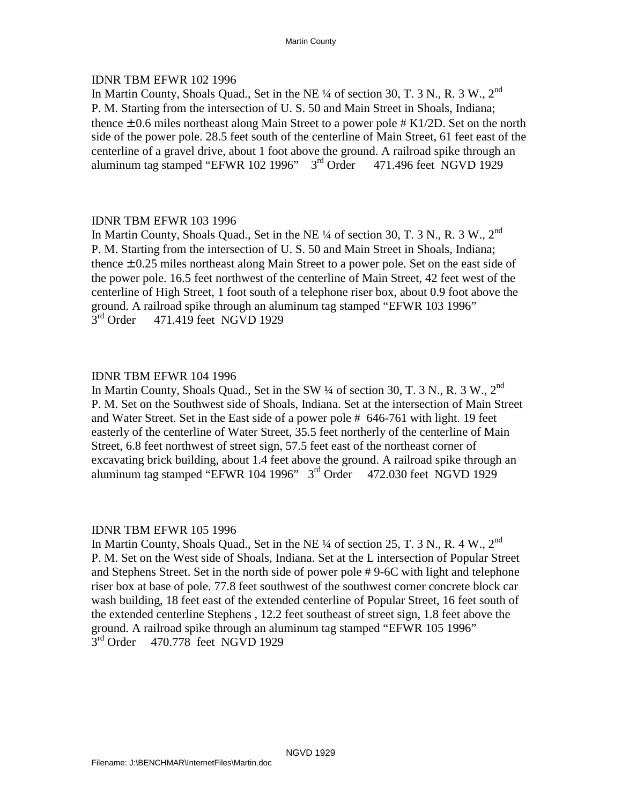# IDNR TBM EFWR 102 1996

In Martin County, Shoals Quad., Set in the NE ¼ of section 30, T. 3 N., R. 3 W., 2<sup>nd</sup> P. M. Starting from the intersection of U. S. 50 and Main Street in Shoals, Indiana; thence  $\pm$  0.6 miles northeast along Main Street to a power pole # K1/2D. Set on the north side of the power pole. 28.5 feet south of the centerline of Main Street, 61 feet east of the centerline of a gravel drive, about 1 foot above the ground. A railroad spike through an aluminum tag stamped "EFWR 102 1996"  $3<sup>rd</sup>$  Order 471.496 feet NGVD 1929

# IDNR TBM EFWR 103 1996

In Martin County, Shoals Quad., Set in the NE  $\frac{1}{4}$  of section 30, T. 3 N., R. 3 W.,  $2^{nd}$ P. M. Starting from the intersection of U. S. 50 and Main Street in Shoals, Indiana; thence  $\pm$  0.25 miles northeast along Main Street to a power pole. Set on the east side of the power pole. 16.5 feet northwest of the centerline of Main Street, 42 feet west of the centerline of High Street, 1 foot south of a telephone riser box, about 0.9 foot above the ground. A railroad spike through an aluminum tag stamped "EFWR 103 1996"<br>3<sup>rd</sup> Order 471.419 feet NGVD 1929 471.419 feet NGVD 1929

# IDNR TBM EFWR 104 1996

In Martin County, Shoals Quad., Set in the SW  $\frac{1}{4}$  of section 30, T. 3 N., R. 3 W.,  $2^{nd}$ P. M. Set on the Southwest side of Shoals, Indiana. Set at the intersection of Main Street and Water Street. Set in the East side of a power pole # 646-761 with light. 19 feet easterly of the centerline of Water Street, 35.5 feet northerly of the centerline of Main Street, 6.8 feet northwest of street sign, 57.5 feet east of the northeast corner of excavating brick building, about 1.4 feet above the ground. A railroad spike through an aluminum tag stamped "EFWR 104 1996"  $3<sup>rd</sup>$  Order 472.030 feet NGVD 1929

# IDNR TBM EFWR 105 1996

In Martin County, Shoals Quad., Set in the NE  $\frac{1}{4}$  of section 25, T. 3 N., R. 4 W.,  $2^{nd}$ P. M. Set on the West side of Shoals, Indiana. Set at the L intersection of Popular Street and Stephens Street. Set in the north side of power pole # 9-6C with light and telephone riser box at base of pole. 77.8 feet southwest of the southwest corner concrete block car wash building, 18 feet east of the extended centerline of Popular Street, 16 feet south of the extended centerline Stephens , 12.2 feet southeast of street sign, 1.8 feet above the ground. A railroad spike through an aluminum tag stamped "EFWR 105 1996" 3<sup>rd</sup> Order 470.778 feet NGVD 1929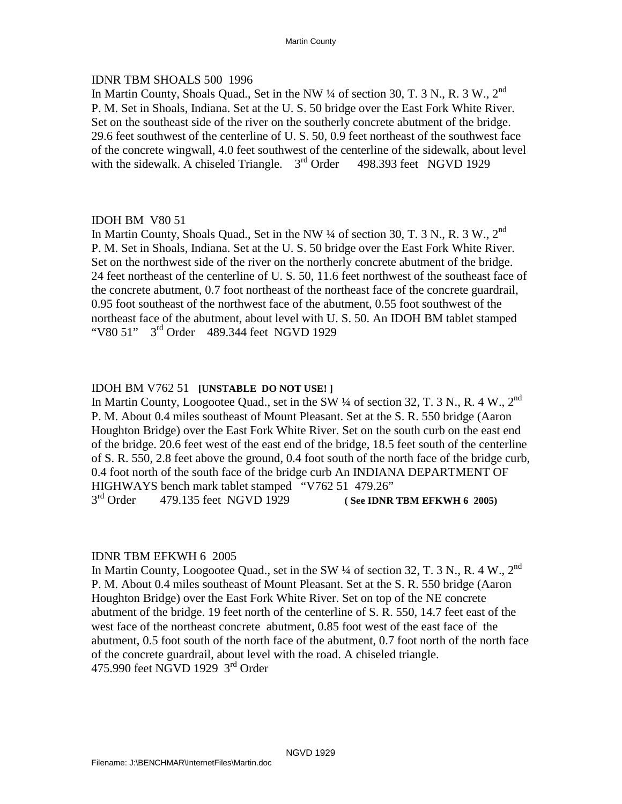# IDNR TBM SHOALS 500 1996

In Martin County, Shoals Quad., Set in the NW  $\frac{1}{4}$  of section 30, T. 3 N., R. 3 W.,  $2^{nd}$ P. M. Set in Shoals, Indiana. Set at the U. S. 50 bridge over the East Fork White River. Set on the southeast side of the river on the southerly concrete abutment of the bridge. 29.6 feet southwest of the centerline of U. S. 50, 0.9 feet northeast of the southwest face of the concrete wingwall, 4.0 feet southwest of the centerline of the sidewalk, about level with the sidewalk. A chiseled Triangle.  $3<sup>rd</sup>$  Order 498.393 feet NGVD 1929

# IDOH BM V80 51

In Martin County, Shoals Quad., Set in the NW  $\frac{1}{4}$  of section 30, T. 3 N., R. 3 W.,  $2^{nd}$ P. M. Set in Shoals, Indiana. Set at the U. S. 50 bridge over the East Fork White River. Set on the northwest side of the river on the northerly concrete abutment of the bridge. 24 feet northeast of the centerline of U. S. 50, 11.6 feet northwest of the southeast face of the concrete abutment, 0.7 foot northeast of the northeast face of the concrete guardrail, 0.95 foot southeast of the northwest face of the abutment, 0.55 foot southwest of the northeast face of the abutment, about level with U. S. 50. An IDOH BM tablet stamped "V80 51" 3<sup>rd</sup> Order 489.344 feet NGVD 1929

# IDOH BM V762 51 **[UNSTABLE DO NOT USE! ]**

In Martin County, Loogootee Quad., set in the SW  $\frac{1}{4}$  of section 32, T. 3 N., R. 4 W., 2<sup>nd</sup> P. M. About 0.4 miles southeast of Mount Pleasant. Set at the S. R. 550 bridge (Aaron Houghton Bridge) over the East Fork White River. Set on the south curb on the east end of the bridge. 20.6 feet west of the east end of the bridge, 18.5 feet south of the centerline of S. R. 550, 2.8 feet above the ground, 0.4 foot south of the north face of the bridge curb, 0.4 foot north of the south face of the bridge curb An INDIANA DEPARTMENT OF HIGHWAYS bench mark tablet stamped "V762 51 479.26" 3rd Order 479.135 feet NGVD 1929 **( See IDNR TBM EFKWH 6 2005)** 

# IDNR TBM EFKWH 6 2005

In Martin County, Loogootee Quad., set in the SW  $\frac{1}{4}$  of section 32, T. 3 N., R. 4 W., 2<sup>nd</sup> P. M. About 0.4 miles southeast of Mount Pleasant. Set at the S. R. 550 bridge (Aaron Houghton Bridge) over the East Fork White River. Set on top of the NE concrete abutment of the bridge. 19 feet north of the centerline of S. R. 550, 14.7 feet east of the west face of the northeast concrete abutment, 0.85 foot west of the east face of the abutment, 0.5 foot south of the north face of the abutment, 0.7 foot north of the north face of the concrete guardrail, about level with the road. A chiseled triangle. 475.990 feet NGVD 1929  $3<sup>rd</sup>$  Order